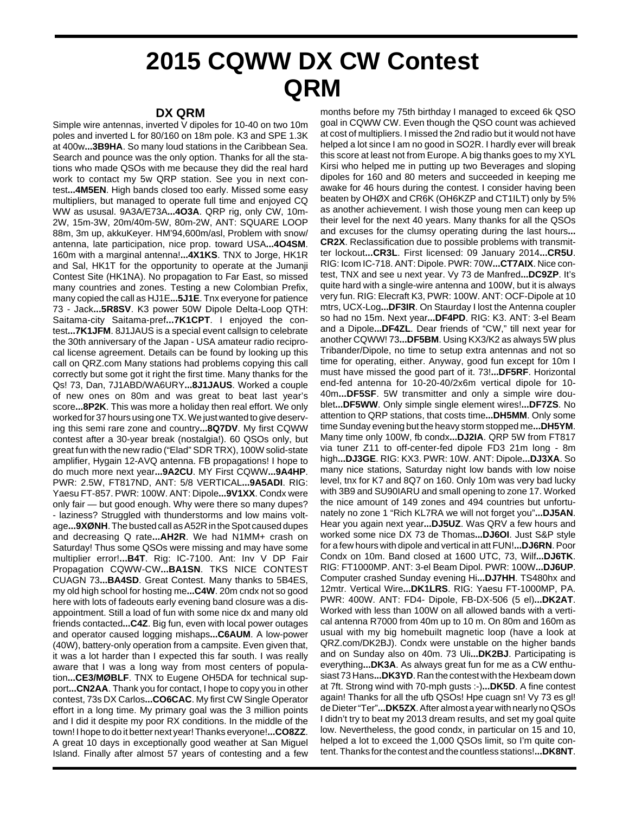## **2015 CQWW DX CW Contest QRM**

## **DX QRM**

Simple wire antennas, inverted V dipoles for 10-40 on two 10m poles and inverted L for 80/160 on 18m pole. K3 and SPE 1.3K at 400w**...3B9HA**. So many loud stations in the Caribbean Sea. Search and pounce was the only option. Thanks for all the stations who made QSOs with me because they did the real hard work to contact my 5w QRP station. See you in next contest**...4M5EN**. High bands closed too early. Missed some easy multipliers, but managed to operate full time and enjoyed CQ WW as ususal. 9A3A/E73A**...4O3A**. QRP rig, only CW, 10m-2W, 15m-3W, 20m/40m-5W, 80m-2W, ANT: SQUARE LOOP 88m, 3m up, akkuKeyer. HM'94,600m/asl, Problem with snow/ antenna, late participation, nice prop. toward USA**...4O4SM**. 160m with a marginal antenna!**...4X1KS**. TNX to Jorge, HK1R and Sal, HK1T for the opportunity to operate at the Jumanji Contest Site (HK1NA). No propagation to Far East, so missed many countries and zones. Testing a new Colombian Prefix, many copied the call as HJ1E**...5J1E**. Tnx everyone for patience 73 - Jack**...5R8SV**. K3 power 50W Dipole Delta-Loop QTH: Saitama-city Saitama-pref**...7K1CPT**. I enjoyed the contest**...7K1JFM**. 8J1JAUS is a special event callsign to celebrate the 30th anniversary of the Japan - USA amateur radio reciprocal license agreement. Details can be found by looking up this call on QRZ.com Many stations had problems copying this call correctly but some got it right the first time. Many thanks for the Qs! 73, Dan, 7J1ABD/WA6URY**...8J1JAUS**. Worked a couple of new ones on 80m and was great to beat last year's score**...8P2K**. This was more a holiday then real effort. We only worked for 37 hours using one TX. We just wanted to give deserving this semi rare zone and country**...8Q7DV**. My first CQWW contest after a 30-year break (nostalgia!). 60 QSOs only, but great fun with the new radio ("Elad" SDR TRX), 100W solid-state amplifier, Hygain 12-AVQ antenna. FB propagations! I hope to do much more next year**...9A2CU**. MY First CQWW**...9A4HP**. PWR: 2.5W, FT817ND, ANT: 5/8 VERTICAL**...9A5ADI**. RIG: Yaesu FT-857. PWR: 100W. ANT: Dipole**...9V1XX**. Condx were only fair — but good enough. Why were there so many dupes? - laziness? Struggled with thunderstorms and low mains voltage**...9XØNH**. The busted call as A52R in the Spot caused dupes and decreasing Q rate**...AH2R**. We had N1MM+ crash on Saturday! Thus some QSOs were missing and may have some multiplier error!**...B4T**. Rig: IC-7100. Ant: Inv V DP Fair Propagation CQWW-CW**...BA1SN**. TKS NICE CONTEST CUAGN 73**...BA4SD**. Great Contest. Many thanks to 5B4ES, my old high school for hosting me**...C4W**. 20m cndx not so good here with lots of fadeouts early evening band closure was a disappointment. Still a load of fun with some nice dx and many old friends contacted**...C4Z**. Big fun, even with local power outages and operator caused logging mishaps**...C6AUM**. A low-power (40W), battery-only operation from a campsite. Even given that, it was a lot harder than I expected this far south. I was really aware that I was a long way from most centers of population**...CE3/MØBLF**. TNX to Eugene OH5DA for technical support**...CN2AA**. Thank you for contact, I hope to copy you in other contest, 73s DX Carlos**...CO6CAC**. My first CW Single Operator effort in a long time. My primary goal was the 3 million points and I did it despite my poor RX conditions. In the middle of the town! I hope to do it better next year! Thanks everyone!**...CO8ZZ**. A great 10 days in exceptionally good weather at San Miguel Island. Finally after almost 57 years of contesting and a few

months before my 75th birthday I managed to exceed 6k QSO goal in CQWW CW. Even though the QSO count was achieved at cost of multipliers. I missed the 2nd radio but it would not have helped a lot since I am no good in SO2R. I hardly ever will break this score at least not from Europe. A big thanks goes to my XYL Kirsi who helped me in putting up two Beverages and sloping dipoles for 160 and 80 meters and succeeded in keeping me awake for 46 hours during the contest. I consider having been beaten by OHØX and CR6K (OH6KZP and CT1ILT) only by 5% as another achievement. I wish those young men can keep up their level for the next 40 years. Many thanks for all the QSOs and excuses for the clumsy operating during the last hours**... CR2X**. Reclassification due to possible problems with transmitter lockout**...CR3L**. First licensed: 09 January 2014**...CR5U**. RIG: Icom IC-718. ANT: Dipole. PWR: 70W**...CT7AIX**. Nice contest, TNX and see u next year. Vy 73 de Manfred**...DC9ZP**. It's quite hard with a single-wire antenna and 100W, but it is always very fun. RIG: Elecraft K3, PWR: 100W. ANT: OCF-Dipole at 10 mtrs, UCX-Log**...DF3IR**. On Staurday I lost the Antenna coupler so had no 15m. Next year**...DF4PD**. RIG: K3. ANT: 3-el Beam and a Dipole**...DF4ZL**. Dear friends of "CW," till next year for another CQWW! 73**...DF5BM**. Using KX3/K2 as always 5W plus Tribander/Dipole, no time to setup extra antennas and not so time for operating, either. Anyway, good fun except for 10m I must have missed the good part of it. 73!**...DF5RF**. Horizontal end-fed antenna for 10-20-40/2x6m vertical dipole for 10- 40m**...DF5SF**. 5W transmitter and only a simple wire doublet**...DF5WW**. Only simple single element wires!**...DF7ZS**. No attention to QRP stations, that costs time**...DH5MM**. Only some time Sunday evening but the heavy storm stopped me**...DH5YM**. Many time only 100W, fb condx**...DJ2IA**. QRP 5W from FT817 via tuner Z11 to off-center-fed dipole FD3 21m long - 8m high**...DJ3GE**. RIG: KX3. PWR: 10W. ANT: Dipole**...DJ3XA**. So many nice stations, Saturday night low bands with low noise level, tnx for K7 and 8Q7 on 160. Only 10m was very bad lucky with 3B9 and SU90IARU and small opening to zone 17. Worked the nice amount of 149 zones and 494 countries but unfortunately no zone 1 "Rich KL7RA we will not forget you"**...DJ5AN**. Hear you again next year**...DJ5UZ**. Was QRV a few hours and worked some nice DX 73 de Thomas**...DJ6OI**. Just S&P style for a few hours with dipole and vertical in att FUN!**...DJ6RN**. Poor Condx on 10m. Band closed at 1600 UTC, 73, Wilf**...DJ6TK**. RIG: FT1000MP. ANT: 3-el Beam Dipol. PWR: 100W**...DJ6UP**. Computer crashed Sunday evening Hi**...DJ7HH**. TS480hx and 12mtr. Vertical Wire**...DK1LRS**. RIG: Yaesu FT-1000MP, PA. PWR: 400W. ANT: FD4- Dipole, FB-DX-506 (5 el)**...DK2AT**. Worked with less than 100W on all allowed bands with a vertical antenna R7000 from 40m up to 10 m. On 80m and 160m as usual with my big homebuilt magnetic loop (have a look at QRZ.com/DK2BJ). Condx were unstable on the higher bands and on Sunday also on 40m. 73 Uli**...DK2BJ**. Participating is everything**...DK3A**. As always great fun for me as a CW enthusiast 73 Hans**...DK3YD**. Ran the contest with the Hexbeam down at 7ft. Strong wind with 70-mph gusts :-)**...DK5D**. A fine contest again! Thanks for all the ufb QSOs! Hpe cuagn sn! Vy 73 es gl! de Dieter "Ter"**...DK5ZX**. After almost a year with nearly no QSOs I didn't try to beat my 2013 dream results, and set my goal quite low. Nevertheless, the good condx, in particular on 15 and 10, helped a lot to exceed the 1,000 QSOs limit, so I'm quite content. Thanks for the contest and the countless stations!**...DK8NT**.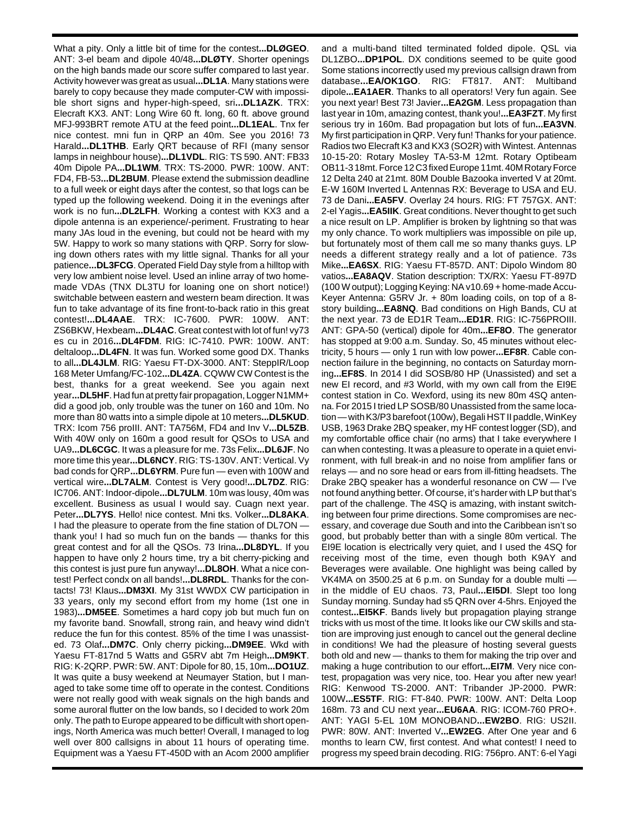What a pity. Only a little bit of time for the contest**...DLØGEO**. ANT: 3-el beam and dipole 40/48**...DLØTY**. Shorter openings on the high bands made our score suffer compared to last year. Activity however was great as usual**...DL1A**. Many stations were barely to copy because they made computer-CW with impossible short signs and hyper-high-speed, sri**...DL1AZK**. TRX: Elecraft KX3. ANT: Long Wire 60 ft. long, 60 ft. above ground MFJ-993BRT remote ATU at the feed point**...DL1EAL**. Tnx fer nice contest. mni fun in QRP an 40m. See you 2016! 73 Harald**...DL1THB**. Early QRT because of RFI (many sensor lamps in neighbour house)**...DL1VDL**. RIG: TS 590. ANT: FB33 40m Dipole PA**...DL1WM**. TRX: TS-2000. PWR: 100W. ANT: FD4, FB-53**...DL2BUM**. Please extend the submission deadline to a full week or eight days after the contest, so that logs can be typed up the following weekend. Doing it in the evenings after work is no fun**...DL2LFH**. Working a contest with KX3 and a dipole antenna is an experience/-periment. Frustrating to hear many JAs loud in the evening, but could not be heard with my 5W. Happy to work so many stations with QRP. Sorry for slowing down others rates with my little signal. Thanks for all your patience**...DL3FCG**. Operated Field Day style from a hilltop with very low ambient noise level. Used an inline array of two homemade VDAs (TNX DL3TU for loaning one on short notice!) switchable between eastern and western beam direction. It was fun to take advantage of its fine front-to-back ratio in this great contest!**...DL4AAE**. TRX: IC-7600. PWR: 100W. ANT: ZS6BKW, Hexbeam**...DL4AC**. Great contest with lot of fun! vy73 es cu in 2016**...DL4FDM**. RIG: IC-7410. PWR: 100W. ANT: deltaloop**...DL4FN**. It was fun. Worked some good DX. Thanks to all**...DL4JLM**. RIG: Yaesu FT-DX-3000. ANT: SteppIR/Loop 168 Meter Umfang/FC-102**...DL4ZA**. CQWW CW Contest is the best, thanks for a great weekend. See you again next year**...DL5HF**. Had fun at pretty fair propagation, Logger N1MM+ did a good job, only trouble was the tuner on 160 and 10m. No more than 80 watts into a simple dipole at 10 meters**...DL5KUD**. TRX: Icom 756 proIII. ANT: TA756M, FD4 and Inv V**...DL5ZB**. With 40W only on 160m a good result for QSOs to USA and UA9**...DL6CGC**. It was a pleasure for me. 73s Felix**...DL6JF**. No more time this year**...DL6NCY**. RIG: TS-130V. ANT: Vertical. Vy bad conds for QRP**...DL6YRM**. Pure fun — even with 100W and vertical wire**...DL7ALM**. Contest is Very good!**...DL7DZ**. RIG: IC706. ANT: Indoor-dipole**...DL7ULM**. 10m was lousy, 40m was excellent. Business as usual I would say. Cuagn next year. Peter**...DL7YS**. Hello! nice contest. Mni tks. Volker**...DL8AKA**. I had the pleasure to operate from the fine station of DL7ON thank you! I had so much fun on the bands — thanks for this great contest and for all the QSOs. 73 Irina**...DL8DYL**. If you happen to have only 2 hours time, try a bit cherry-picking and this contest is just pure fun anyway!**...DL8OH**. What a nice contest! Perfect condx on all bands!**...DL8RDL**. Thanks for the contacts! 73! Klaus**...DM3XI**. My 31st WWDX CW participation in 33 years, only my second effort from my home (1st one in 1983)**...DM5EE**. Sometimes a hard copy job but much fun on my favorite band. Snowfall, strong rain, and heavy wind didn't reduce the fun for this contest. 85% of the time I was unassisted. 73 Olaf**...DM7C**. Only cherry picking**...DM9EE**. Wkd with Yaesu FT-817nd 5 Watts and G5RV abt 7m Heigh**...DM9KT**. RIG: K-2QRP. PWR: 5W. ANT: Dipole for 80, 15, 10m**...DO1UZ**. It was quite a busy weekend at Neumayer Station, but I managed to take some time off to operate in the contest. Conditions were not really good with weak signals on the high bands and some auroral flutter on the low bands, so I decided to work 20m only. The path to Europe appeared to be difficult with short openings, North America was much better! Overall, I managed to log well over 800 callsigns in about 11 hours of operating time. Equipment was a Yaesu FT-450D with an Acom 2000 amplifier

and a multi-band tilted terminated folded dipole. QSL via DL1ZBO**...DP1POL**. DX conditions seemed to be quite good Some stations incorrectly used my previous callsign drawn from database**...EA/OK1GO**. RIG: FT817. ANT: Multiband dipole**...EA1AER**. Thanks to all operators! Very fun again. See you next year! Best 73! Javier**...EA2GM**. Less propagation than last year in 10m, amazing contest, thank you!**...EA3FZT**. My first serious try in 160m. Bad propagation but lots of fun**...EA3VN**. My first participation in QRP. Very fun! Thanks for your patience. Radios two Elecraft K3 and KX3 (SO2R) with Wintest. Antennas 10-15-20: Rotary Mosley TA-53-M 12mt. Rotary Optibeam OB11-3 18mt. Force 12 C3 fixed Europe 11mt. 40M Rotary Force 12 Delta 240 at 21mt. 80M Double Bazooka inverted V at 20mt. E-W 160M Inverted L Antennas RX: Beverage to USA and EU. 73 de Dani**...EA5FV**. Overlay 24 hours. RIG: FT 757GX. ANT: 2-el Yagis**...EA5IIK**. Great conditions. Never thought to get such a nice result on LP. Amplifier is broken by lightning so that was my only chance. To work multipliers was impossible on pile up, but fortunately most of them call me so many thanks guys. LP needs a different strategy really and a lot of patience. 73s Mike**...EA6SX**. RIG: Yaesu FT-857D. ANT: Dipolo Windom 80 vatios**...EA8AQV**. Station description: TX/RX: Yaesu FT-897D (100 W output); Logging Keying: NA v10.69 + home-made Accu-Keyer Antenna: G5RV Jr. + 80m loading coils, on top of a 8 story building**...EA8NQ**. Bad conditions on High Bands, CU at the next year. 73 de ED1R Team**...ED1R**. RIG: IC-756PROIII. ANT: GPA-50 (vertical) dipole for 40m**...EF8O**. The generator has stopped at 9:00 a.m. Sunday. So, 45 minutes without electricity, 5 hours — only 1 run with low power**...EF8R**. Cable connection failure in the beginning, no contacts on Saturday morning**...EF8S**. In 2014 I did SOSB/80 HP (Unassisted) and set a new EI record, and #3 World, with my own call from the EI9E contest station in Co. Wexford, using its new 80m 4SQ antenna. For 2015 I tried LP SOSB/80 Unassisted from the same location — with K3/P3 barefoot (100w), Begali HST II paddle, WinKey USB, 1963 Drake 2BQ speaker, my HF contest logger (SD), and my comfortable office chair (no arms) that I take everywhere I can when contesting. It was a pleasure to operate in a quiet environment, with full break-in and no noise from amplifier fans or relays — and no sore head or ears from ill-fitting headsets. The Drake 2BQ speaker has a wonderful resonance on CW — I've not found anything better. Of course, it's harder with LP but that's part of the challenge. The 4SQ is amazing, with instant switching between four prime directions. Some compromises are necessary, and coverage due South and into the Caribbean isn't so good, but probably better than with a single 80m vertical. The EI9E location is electrically very quiet, and I used the 4SQ for receiving most of the time, even though both K9AY and Beverages were available. One highlight was being called by VK4MA on 3500.25 at 6 p.m. on Sunday for a double multi in the middle of EU chaos. 73, Paul**...EI5DI**. Slept too long Sunday morning. Sunday had s5 QRN over 4-5hrs. Enjoyed the contest**...EI5KF**. Bands lively but propagation playing strange tricks with us most of the time. It looks like our CW skills and station are improving just enough to cancel out the general decline in conditions! We had the pleasure of hosting several guests both old and new — thanks to them for making the trip over and making a huge contribution to our effort**...EI7M**. Very nice contest, propagation was very nice, too. Hear you after new year! RIG: Kenwood TS-2000. ANT: Tribander JP-2000. PWR: 100W**...ES5TF**. RIG: FT-840. PWR: 100W. ANT: Delta Loop 168m. 73 and CU next year**...EU6AA**. RIG: ICOM-760 PRO+. ANT: YAGI 5-EL 10M MONOBAND**...EW2BO**. RIG: US2II. PWR: 80W. ANT: Inverted V**...EW2EG**. After One year and 6 months to learn CW, first contest. And what contest! I need to progress my speed brain decoding. RIG: 756pro. ANT: 6-el Yagi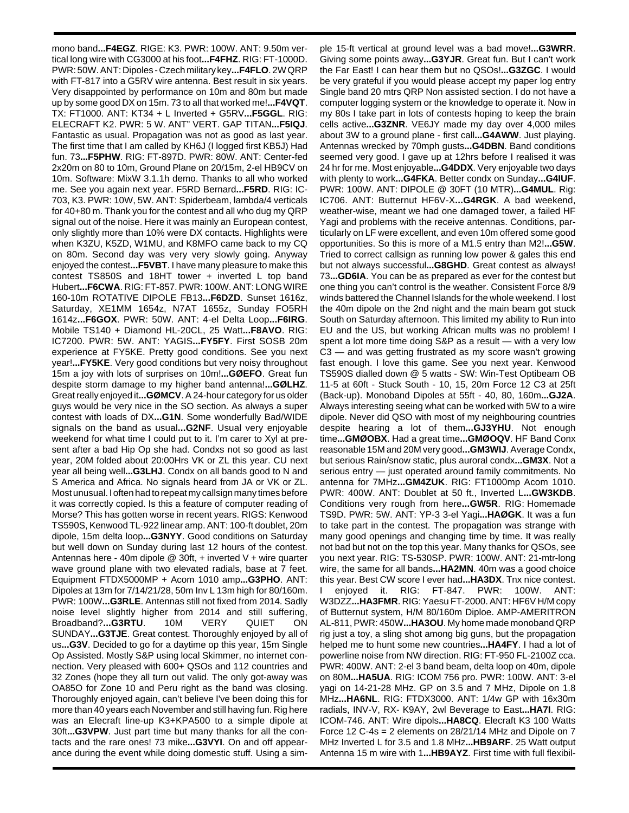mono band**...F4EGZ**. RIGE: K3. PWR: 100W. ANT: 9.50m vertical long wire with CG3000 at his foot**...F4FHZ**. RIG: FT-1000D. PWR: 50W. ANT: Dipoles - Czech military key**...F4FLO**. 2W QRP with FT-817 into a G5RV wire antenna. Best result in six years. Very disappointed by performance on 10m and 80m but made up by some good DX on 15m. 73 to all that worked me!**...F4VQT**. TX: FT1000. ANT: KT34 + L Inverted + G5RV**...F5GGL**. RIG: ELECRAFT K2. PWR: 5 W. ANT" VERT. GAP TITAN**...F5IQJ**. Fantastic as usual. Propagation was not as good as last year. The first time that I am called by KH6J (I logged first KB5J) Had fun. 73**...F5PHW**. RIG: FT-897D. PWR: 80W. ANT: Center-fed 2x20m on 80 to 10m, Ground Plane on 20/15m, 2-el HB9CV on 10m. Software: MixW 3.1.1h demo. Thanks to all who worked me. See you again next year. F5RD Bernard**...F5RD**. RIG: IC-703, K3. PWR: 10W, 5W. ANT: Spiderbeam, lambda/4 verticals for 40+80 m. Thank you for the contest and all who dug my QRP signal out of the noise. Here it was mainly an European contest, only slightly more than 10% were DX contacts. Highlights were when K3ZU, K5ZD, W1MU, and K8MFO came back to my CQ on 80m. Second day was very very slowly going. Anyway enjoyed the contest**...F5VBT**. I have many pleasure to make this contest TS850S and 18HT tower + inverted L top band Hubert**...F6CWA**. RIG: FT-857. PWR: 100W. ANT: LONG WIRE 160-10m ROTATIVE DIPOLE FB13**...F6DZD**. Sunset 1616z, Saturday, XE1MM 1654z, N7AT 1655z, Sunday FO5RH 1614z**...F6GOX**. PWR: 50W. ANT: 4-el Delta Loop**...F6IRG**. Mobile TS140 + Diamond HL-20CL, 25 Watt**...F8AVO**. RIG: IC7200. PWR: 5W. ANT: YAGIS**...FY5FY**. First SOSB 20m experience at FY5KE. Pretty good conditions. See you next year!**...FY5KE**. Very good conditions but very noisy throughout 15m a joy with lots of surprises on 10m!**...GØEFO**. Great fun despite storm damage to my higher band antenna!**...GØLHZ**. Great really enjoyed it**...GØMCV**. A 24-hour category for us older guys would be very nice in the SO section. As always a super contest with loads of DX**...G1N**. Some wonderfully Bad/WIDE signals on the band as usual**...G2NF**. Usual very enjoyable weekend for what time I could put to it. I'm carer to Xyl at present after a bad Hip Op she had. Condxs not so good as last year, 20M folded about 20:00Hrs VK or ZL this year. CU next year all being well**...G3LHJ**. Condx on all bands good to N and S America and Africa. No signals heard from JA or VK or ZL. Most unusual. I often had to repeat my callsign many times before it was correctly copied. Is this a feature of computer reading of Morse? This has gotten worse in recent years. RIGS: Kenwood TS590S, Kenwood TL-922 linear amp. ANT: 100-ft doublet, 20m dipole, 15m delta loop**...G3NYY**. Good conditions on Saturday but well down on Sunday during last 12 hours of the contest. Antennas here - 40m dipole @ 30ft, + inverted V + wire quarter wave ground plane with two elevated radials, base at 7 feet. Equipment FTDX5000MP + Acom 1010 amp**...G3PHO**. ANT: Dipoles at 13m for 7/14/21/28, 50m Inv L 13m high for 80/160m. PWR: 100W**...G3RLE**. Antennas still not fixed from 2014. Sadly noise level slightly higher from 2014 and still suffering, Broadband?**...G3RTU**. 10M VERY QUIET ON SUNDAY**...G3TJE**. Great contest. Thoroughly enjoyed by all of us**...G3V**. Decided to go for a daytime op this year, 15m Single Op Assisted. Mostly S&P using local Skimmer, no internet connection. Very pleased with 600+ QSOs and 112 countries and 32 Zones (hope they all turn out valid. The only got-away was OA85O for Zone 10 and Peru right as the band was closing. Thoroughly enjoyed again, can't believe I've been doing this for more than 40 years each November and still having fun. Rig here was an Elecraft line-up K3+KPA500 to a simple dipole at 30ft**...G3VPW**. Just part time but many thanks for all the contacts and the rare ones! 73 mike**...G3VYI**. On and off appearance during the event while doing domestic stuff. Using a sim-

ple 15-ft vertical at ground level was a bad move!**...G3WRR**. Giving some points away**...G3YJR**. Great fun. But I can't work the Far East! I can hear them but no QSOs!**...G3ZGC**. I would be very grateful if you would please accept my paper log entry Single band 20 mtrs QRP Non assisted section. I do not have a computer logging system or the knowledge to operate it. Now in my 80s I take part in lots of contests hoping to keep the brain cells active**...G3ZNR**. VE6JY made my day over 4,000 miles about 3W to a ground plane - first call**...G4AWW**. Just playing. Antennas wrecked by 70mph gusts**...G4DBN**. Band conditions seemed very good. I gave up at 12hrs before I realised it was 24 hr for me. Most enjoyable**...G4DDX**. Very enjoyable two days with plenty to work**...G4FKA**. Better condx on Sunday**...G4IUF**. PWR: 100W. ANT: DIPOLE @ 30FT (10 MTR)**...G4MUL**. Rig: IC706. ANT: Butternut HF6V-X**...G4RGK**. A bad weekend, weather-wise, meant we had one damaged tower, a failed HF Yagi and problems with the receive antennas. Conditions, particularly on LF were excellent, and even 10m offered some good opportunities. So this is more of a M1.5 entry than M2!**...G5W**. Tried to correct callsign as running low power & gales this end but not always successful**...G8GHD**. Great contest as always! 73**...GD6IA**. You can be as prepared as ever for the contest but one thing you can't control is the weather. Consistent Force 8/9 winds battered the Channel Islands for the whole weekend. I lost the 40m dipole on the 2nd night and the main beam got stuck South on Saturday afternoon. This limited my ability to Run into EU and the US, but working African mults was no problem! I spent a lot more time doing S&P as a result — with a very low C3 — and was getting frustrated as my score wasn't growing fast enough. I love this game. See you next year. Kenwood TS590S dialled down @ 5 watts - SW: Win-Test Optibeam OB 11-5 at 60ft - Stuck South - 10, 15, 20m Force 12 C3 at 25ft (Back-up). Monoband Dipoles at 55ft - 40, 80, 160m**...GJ2A**. Always interesting seeing what can be worked with 5W to a wire dipole. Never did QSO with most of my neighbouring countries despite hearing a lot of them**...GJ3YHU**. Not enough time**...GMØOBX**. Had a great time**...GMØOQV**. HF Band Conx reasonable 15M and 20M very good**...GM3WIJ**. Average Condx, but serious Rain/snow static, plus auroral condx**...GM3X**. Not a serious entry — just operated around family commitments. No antenna for 7MHz**...GM4ZUK**. RIG: FT1000mp Acom 1010. PWR: 400W. ANT: Doublet at 50 ft., Inverted L**...GW3KDB**. Conditions very rough from here**...GW5R**. RIG: Homemade TS9D. PWR: 5W. ANT: YP-3 3-el Yagi**...HAØGK**. It was a fun to take part in the contest. The propagation was strange with many good openings and changing time by time. It was really not bad but not on the top this year. Many thanks for QSOs, see you next year. RIG: TS-530SP. PWR: 100W. ANT: 21-mtr-long wire, the same for all bands**...HA2MN**. 40m was a good choice this year. Best CW score I ever had**...HA3DX**. Tnx nice contest. I enjoyed it. RIG: FT-847. PWR: 100W. ANT: W3DZZ**...HA3FMR**. RIG: Yaesu FT-2000. ANT: HF6V H/M copy of Butternut system, H/M 80/160m Diploe. AMP-AMERITRON AL-811, PWR: 450W**...HA3OU**. My home made monoband QRP rig just a toy, a sling shot among big guns, but the propagation helped me to hunt some new countries**...HA4FY**. I had a lot of powerline noise from NW direction. RIG: FT-950 FL-2100Z cca. PWR: 400W. ANT: 2-el 3 band beam, delta loop on 40m, dipole on 80M**...HA5UA**. RIG: ICOM 756 pro. PWR: 100W. ANT: 3-el yagi on 14-21-28 MHz. GP on 3.5 and 7 MHz, Dipole on 1.8 MHz**...HA6NL**. RIG: FTDX3000. ANT: 1/4w GP with 16x30m radials, INV-V, RX- K9AY, 2wl Beverage to East**...HA7I**. RIG: ICOM-746. ANT: Wire dipols**...HA8CQ**. Elecraft K3 100 Watts Force 12 C-4s = 2 elements on 28/21/14 MHz and Dipole on 7 MHz Inverted L for 3.5 and 1.8 MHz**...HB9ARF**. 25 Watt output Antenna 15 m wire with 1**...HB9AYZ**. First time with full flexibil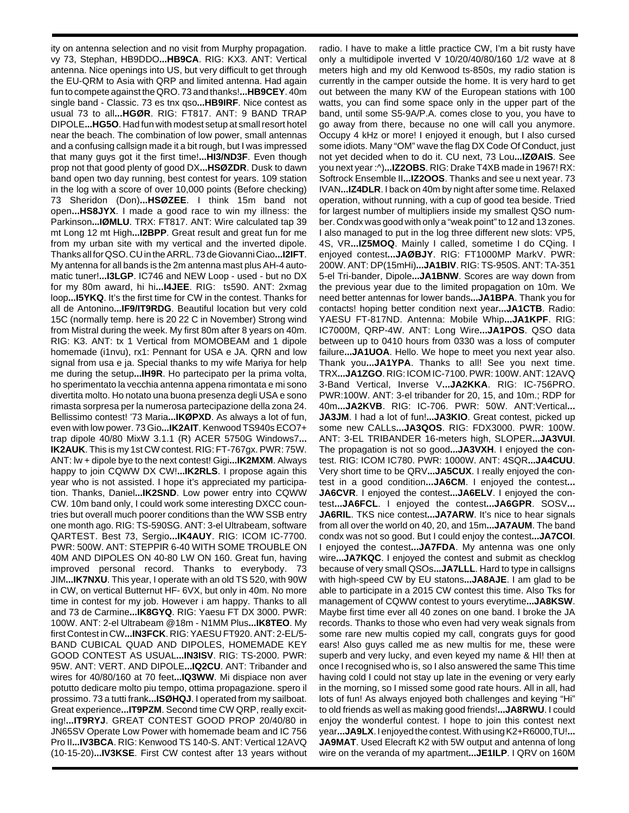ity on antenna selection and no visit from Murphy propagation. vy 73, Stephan, HB9DDO**...HB9CA**. RIG: KX3. ANT: Vertical antenna. Nice openings into US, but very difficult to get through the EU-QRM to Asia with QRP and limited antenna. Had again fun to compete against the QRO. 73 and thanks!**...HB9CEY**. 40m single band - Classic. 73 es tnx qso**...HB9IRF**. Nice contest as usual 73 to all**...HGØR**. RIG: FT817. ANT: 9 BAND TRAP DIPOLE**...HG5O**. Had fun with modest setup at small resort hotel near the beach. The combination of low power, small antennas and a confusing callsign made it a bit rough, but I was impressed that many guys got it the first time!**...HI3/ND3F**. Even though prop not that good plenty of good DX**...HSØZDR**. Dusk to dawn band open two day running, best contest for years. 109 station in the log with a score of over 10,000 points (Before checking) 73 Sheridon (Don)**...HSØZEE**. I think 15m band not open**...HS8JYX**. I made a good race to win my illness: the Parkinson**...IØMLU**. TRX: FT817. ANT: Wire calculated tap 39 mt Long 12 mt High**...I2BPP**. Great result and great fun for me from my urban site with my vertical and the inverted dipole. Thanks all for QSO. CU in the ARRL. 73 de Giovanni Ciao**...I2IFT**. My antenna for all bands is the 2m antenna mast plus AH-4 automatic tuner!**...I3LGP**. IC746 and NEW Loop - used - but no DX for my 80m award, hi hi**...I4JEE**. RIG: ts590. ANT: 2xmag loop**...I5YKQ**. It's the first time for CW in the contest. Thanks for all de Antonino**...IF9/IT9RDG**. Beautiful location but very cold 15C (normally temp. here is 20 22 C in November) Strong wind from Mistral during the week. My first 80m after 8 years on 40m. RIG: K3. ANT: tx 1 Vertical from MOMOBEAM and 1 dipole homemade (i1nvu), rx1: Pennant for USA e JA. QRN and low signal from usa e ja. Special thanks to my wife Mariya for help me during the setup**...IH9R**. Ho partecipato per la prima volta, ho sperimentato la vecchia antenna appena rimontata e mi sono divertita molto. Ho notato una buona presenza degli USA e sono rimasta sorpresa per la numerosa partecipazione della zona 24. Bellissimo contest! '73 Maria**...IKØPXD**. As always a lot of fun, even with low power. 73 Gio**...IK2AIT**. Kenwood TS940s ECO7+ trap dipole 40/80 MixW 3.1.1 (R) ACER 5750G Windows7**... IK2AUK**. This is my 1st CW contest. RIG: FT-767gx. PWR: 75W. ANT: lw + dipole bye to the next contest! Gigi**...IK2MXM**. Always happy to join CQWW DX CW!**...IK2RLS**. I propose again this year who is not assisted. I hope it's appreciated my participation. Thanks, Daniel**...IK2SND**. Low power entry into CQWW CW. 10m band only, I could work some interesting DXCC countries but overall much poorer conditions than the WW SSB entry one month ago. RIG: TS-590SG. ANT: 3-el Ultrabeam, software QARTEST. Best 73, Sergio**...IK4AUY**. RIG: ICOM IC-7700. PWR: 500W. ANT: STEPPIR 6-40 WITH SOME TROUBLE ON 40M AND DIPOLES ON 40-80 LW ON 160. Great fun, having improved personal record. Thanks to everybody. 73 JIM**...IK7NXU**. This year, I operate with an old TS 520, with 90W in CW, on vertical Butternut HF- 6VX, but only in 40m. No more time in contest for my job. However i am happy. Thanks to all and 73 de Carmine**...IK8GYQ**. RIG: Yaesu FT DX 3000. PWR: 100W. ANT: 2-el Ultrabeam @18m - N1MM Plus**...IK8TEO**. My first Contest in CW**...IN3FCK**. RIG: YAESU FT920. ANT: 2-EL/5- BAND CUBICAL QUAD AND DIPOLES, HOMEMADE KEY GOOD CONTEST AS USUAL**...IN3ISV**. RIG: TS-2000. PWR: 95W. ANT: VERT. AND DIPOLE**...IQ2CU**. ANT: Tribander and wires for 40/80/160 at 70 feet**...IQ3WW**. Mi dispiace non aver potutto dedicare molto piu tempo, ottima propagazione. spero il prossimo. 73 a tutti frank**...ISØHQJ**. I operated from my sailboat. Great experience**...IT9PZM**. Second time CW QRP, really exciting!**...IT9RYJ**. GREAT CONTEST GOOD PROP 20/40/80 in JN65SV Operate Low Power with homemade beam and IC 756 Pro II**...IV3BCA**. RIG: Kenwood TS 140-S. ANT: Vertical 12AVQ (10-15-20)**...IV3KSE**. First CW contest after 13 years without

radio. I have to make a little practice CW, I'm a bit rusty have only a multidipole inverted V 10/20/40/80/160 1/2 wave at 8 meters high and my old Kenwood ts-850s, my radio station is currently in the camper outside the home. It is very hard to get out between the many KW of the European stations with 100 watts, you can find some space only in the upper part of the band, until some S5-9A/P.A. comes close to you, you have to go away from there, because no one will call you anymore. Occupy 4 kHz or more! I enjoyed it enough, but I also cursed some idiots. Many "OM" wave the flag DX Code Of Conduct, just not yet decided when to do it. CU next, 73 Lou**...IZØAIS**. See you next year :^)**...IZ2OBS**. RIG: Drake T4XB made in 1967! RX: Softrock Ensemble II**...IZ2OOS**. Thanks and see u next year. 73 IVAN**...IZ4DLR**. I back on 40m by night after some time. Relaxed operation, without running, with a cup of good tea beside. Tried for largest number of multipliers inside my smallest QSO number. Condx was good with only a "weak point" to 12 and 13 zones. I also managed to put in the log three different new slots: VP5, 4S, VR**...IZ5MOQ**. Mainly I called, sometime I do CQing. I enjoyed contest**...JAØBJY**. RIG: FT1000MP MarkV. PWR: 200W. ANT: DP(15mHi)**...JA1BIV**. RIG: TS-950S. ANT: TA-351 5-el Tri-bander, Dipole**...JA1BNW**. Scores are way down from the previous year due to the limited propagation on 10m. We need better antennas for lower bands**...JA1BPA**. Thank you for contacts! hoping better condition next year**...JA1CTB**. Radio: YAESU FT-817ND. Antenna: Mobile Whip**...JA1KPF**. RIG: IC7000M, QRP-4W. ANT: Long Wire**...JA1POS**. QSO data between up to 0410 hours from 0330 was a loss of computer failure**...JA1UOA**. Hello. We hope to meet you next year also. Thank you**...JA1YPA**. Thanks to all! See you next time. TRX**...JA1ZGO**. RIG: ICOM IC-7100. PWR: 100W. ANT: 12AVQ 3-Band Vertical, Inverse V**...JA2KKA**. RIG: IC-756PRO. PWR:100W. ANT: 3-el tribander for 20, 15, and 10m.; RDP for 40m**...JA2KVB**. RIG: IC-706. PWR: 50W. ANT:Vertical**... JA3JM**. I had a lot of fun!**...JA3KIO**. Great contest, picked up some new CALLs**...JA3QOS**. RIG: FDX3000. PWR: 100W. ANT: 3-EL TRIBANDER 16-meters high, SLOPER**...JA3VUI**. The propagation is not so good**...JA3VXH**. I enjoyed the contest. RIG: ICOM IC780. PWR: 1000W. ANT: 4SQR**...JA4CUU**. Very short time to be QRV**...JA5CUX**. I really enjoyed the contest in a good condition**...JA6CM**. I enjoyed the contest**... JA6CVR**. I enjoyed the contest**...JA6ELV**. I enjoyed the contest**...JA6FCL**. I enjoyed the contest**...JA6GPR**. SOSV**... JA6RIL**. TKS nice contest**...JA7ARW**. It's nice to hear signals from all over the world on 40, 20, and 15m**...JA7AUM**. The band condx was not so good. But I could enjoy the contest**...JA7COI**. I enjoyed the contest**...JA7FDA**. My antenna was one only wire**...JA7KQC**. I enjoyed the contest and submit as checklog because of very small QSOs**...JA7LLL**. Hard to type in callsigns with high-speed CW by EU statons**...JA8AJE**. I am glad to be able to participate in a 2015 CW contest this time. Also Tks for management of CQWW contest to yours everytime**...JA8KSW**. Maybe first time ever all 40 zones on one band. I broke the JA records. Thanks to those who even had very weak signals from some rare new multis copied my call, congrats guys for good ears! Also guys called me as new multis for me, these were superb and very lucky, and even keyed my name & HI! then at once I recognised who is, so I also answered the same This time having cold I could not stay up late in the evening or very early in the morning, so I missed some good rate hours. All in all, had lots of fun! As always enjoyed both challenges and keying "Hi" to old friends as well as making good friends!**...JA8RWU**. I could enjoy the wonderful contest. I hope to join this contest next year**...JA9LX**. I enjoyed the contest. With using K2+R6000,TU!**... JA9MAT**. Used Elecraft K2 with 5W output and antenna of long wire on the veranda of my apartment**...JE1ILP**. I QRV on 160M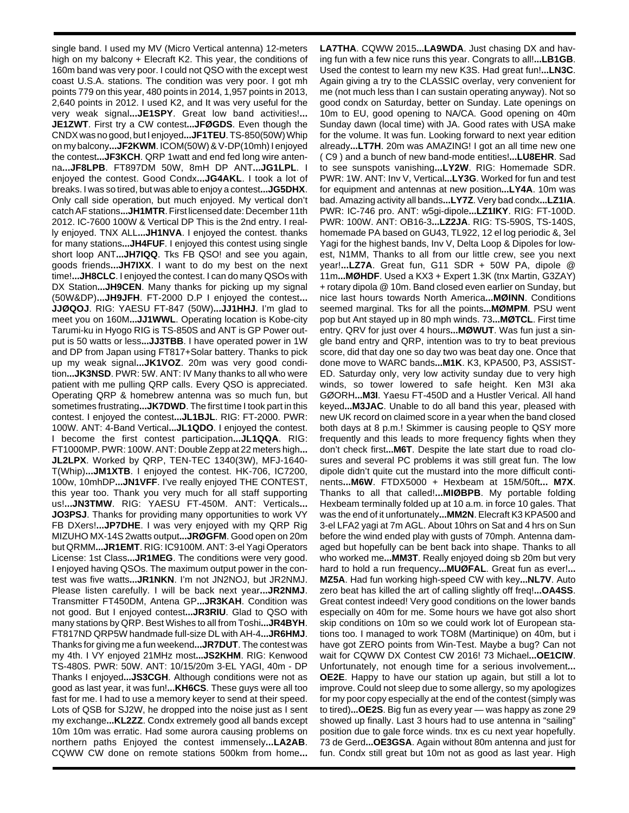single band. I used my MV (Micro Vertical antenna) 12-meters high on my balcony + Elecraft K2. This year, the conditions of 160m band was very poor. I could not QSO with the except west coast U.S.A. stations. The condition was very poor. I got mh points 779 on this year, 480 points in 2014, 1,957 points in 2013, 2,640 points in 2012. I used K2, and It was very useful for the very weak signal**...JE1SPY**. Great low band activities!**... JE1ZWT**. First try a CW contest**...JFØGDS**. Even though the CNDX was no good, but I enjoyed**...JF1TEU**. TS-850(50W) Whip on my balcony**...JF2KWM**. ICOM(50W) & V-DP(10mh) I enjoyed the contest**...JF3KCH**. QRP 1watt and end fed long wire antenna**...JF8LPB**. FT897DM 50W, 8mH DP ANT**...JG1LPL**. I enjoyed the contest. Good Condx**...JG4AKL**. I took a lot of breaks. I was so tired, but was able to enjoy a contest**...JG5DHX**. Only call side operation, but much enjoyed. My vertical don't catch AF stations**...JH1MTR**. First licensed date: December 11th 2012. IC-7600 100W & Vertical DP This is the 2nd entry. I really enjoyed. TNX ALL**...JH1NVA**. I enjoyed the contest. thanks for many stations**...JH4FUF**. I enjoyed this contest using single short loop ANT**...JH7IQQ**. Tks FB QSO! and see you again, goods friends**...JH7IXX**. I want to do my best on the next time!**...JH8CLC**. I enjoyed the contest. I can do many QSOs with DX Station**...JH9CEN**. Many thanks for picking up my signal (50W&DP)**...JH9JFH**. FT-2000 D.P I enjoyed the contest**... JJØQOJ**. RIG: YAESU FT-847 (50W)**...JJ1HHJ**. I'm glad to meet you on 160M**...JJ1WWL**. Operating location is Kobe-city Tarumi-ku in Hyogo RIG is TS-850S and ANT is GP Power output is 50 watts or less**...JJ3TBB**. I have operated power in 1W and DP from Japan using FT817+Solar battery. Thanks to pick up my weak signal**...JK1VOZ**. 20m was very good condition**...JK3NSD**. PWR: 5W. ANT: IV Many thanks to all who were patient with me pulling QRP calls. Every QSO is appreciated. Operating QRP & homebrew antenna was so much fun, but sometimes frustrating**...JK7DWD**. The first time I took part in this contest. I enjoyed the contest**...JL1BJL**. RIG: FT-2000. PWR: 100W. ANT: 4-Band Vertical**...JL1QDO**. I enjoyed the contest. I become the first contest participation**...JL1QQA**. RIG: FT1000MP. PWR: 100W. ANT: Double Zepp at 22 meters high**... JL2LPX**. Worked by QRP, TEN-TEC 1340(3W), MFJ-1640- T(Whip)**...JM1XTB**. I enjoyed the contest. HK-706, IC7200, 100w, 10mhDP**...JN1VFF**. I've really enjoyed THE CONTEST, this year too. Thank you very much for all staff supporting us!**...JN3TMW**. RIG: YAESU FT-450M. ANT: Verticals**... JO3PSJ**. Thanks for providing many opportunities to work VY FB DXers!**...JP7DHE**. I was very enjoyed with my QRP Rig MIZUHO MX-14S 2watts output**...JRØGFM**. Good open on 20m but QRMM**...JR1EMT**. RIG: IC9100M. ANT: 3-el Yagi Operators License: 1st Class**...JR1MEG**. The conditions were very good. I enjoyed having QSOs. The maximum output power in the contest was five watts**...JR1NKN**. I'm not JN2NOJ, but JR2NMJ. Please listen carefully. I will be back next year**...JR2NMJ**. Transmitter FT450DM, Antena GP**...JR3KAH**. Condition was not good. But I enjoyed contest**...JR3RIU**. Glad to QSO with many stations by QRP. Best Wishes to all from Toshi**...JR4BYH**. FT817ND QRP5W handmade full-size DL with AH-4**...JR6HMJ**. Thanks for giving me a fun weekend**...JR7DUT**. The contest was my 4th. I VY enjoyed 21MHz most**...JS2KHM**. RIG: Kenwood TS-480S. PWR: 50W. ANT: 10/15/20m 3-EL YAGI, 40m - DP Thanks I enjoyed**...JS3CGH**. Although conditions were not as good as last year, it was fun!**...KH6CS**. These guys were all too fast for me. I had to use a memory keyer to send at their speed. Lots of QSB for SJ2W, he dropped into the noise just as I sent my exchange**...KL2ZZ**. Condx extremely good all bands except 10m 10m was erratic. Had some aurora causing problems on northern paths Enjoyed the contest immensely**...LA2AB**. CQWW CW done on remote stations 500km from home**...**

**LA7THA**. CQWW 2015**...LA9WDA**. Just chasing DX and having fun with a few nice runs this year. Congrats to all!**...LB1GB**. Used the contest to learn my new K3S. Had great fun!**...LN3C**. Again giving a try to the CLASSIC overlay, very convenient for me (not much less than I can sustain operating anyway). Not so good condx on Saturday, better on Sunday. Late openings on 10m to EU, good opening to NA/CA. Good opening on 40m Sunday dawn (local time) with JA. Good rates with USA make for the volume. It was fun. Looking forward to next year edition already**...LT7H**. 20m was AMAZING! I got an all time new one ( C9 ) and a bunch of new band-mode entities!**...LU8EHR**. Sad to see sunspots vanishing**...LY2W**. RIG: Homemade SDR. PWR: 1W. ANT: Inv V, Vertical**...LY3G**. Worked for fun and test for equipment and antennas at new position**...LY4A**. 10m was bad. Amazing activity all bands**...LY7Z**. Very bad condx**...LZ1IA**. PWR: IC-746 pro. ANT: w5gi-dipole**...LZ1IKY**. RIG: FT-100D. PWR: 100W. ANT: OB16-3**...LZ2JA**. RIG: TS-590S, TS-140S, homemade PA based on GU43, TL922, 12 el log periodic &, 3el Yagi for the highest bands, Inv V, Delta Loop & Dipoles for lowest, N1MM, Thanks to all from our little crew, see you next year!**...LZ7A**. Great fun, G11 SDR + 50W PA, dipole @ 11m**...MØHDF**. Used a KX3 + Expert 1.3K (tnx Martin, G3ZAY) + rotary dipola @ 10m. Band closed even earlier on Sunday, but nice last hours towards North America**...MØINN**. Conditions seemed marginal. Tks for all the points**...MØMPM**. PSU went pop but Ant stayed up in 80 mph winds. 73**...MØTCL**. First time entry. QRV for just over 4 hours**...MØWUT**. Was fun just a single band entry and QRP, intention was to try to beat previous score, did that day one so day two was beat day one. Once that done move to WARC bands**...M1K**. K3, KPA500, P3, ASSIST-ED. Saturday only, very low activity sunday due to very high winds, so tower lowered to safe height. Ken M3I aka GØORH**...M3I**. Yaesu FT-450D and a Hustler Verical. All hand keyed**...M3JAC**. Unable to do all band this year, pleased with new UK record on claimed score in a year when the band closed both days at 8 p.m.! Skimmer is causing people to QSY more frequently and this leads to more frequency fights when they don't check first**...M6T**. Despite the late start due to road closures and several PC problems it was still great fun. The low dipole didn't quite cut the mustard into the more difficult continents**...M6W**. FTDX5000 + Hexbeam at 15M/50ft**... M7X**. Thanks to all that called!**...MIØBPB**. My portable folding Hexbeam terminally folded up at 10 a.m. in force 10 gales. That was the end of it unfortunately**...MM2N**. Elecraft K3 KPA500 and 3-el LFA2 yagi at 7m AGL. About 10hrs on Sat and 4 hrs on Sun before the wind ended play with gusts of 70mph. Antenna damaged but hopefully can be bent back into shape. Thanks to all who worked me**...MM3T**. Really enjoyed doing sb 20m but very hard to hold a run frequency**...MUØFAL**. Great fun as ever!**... MZ5A**. Had fun working high-speed CW with key**...NL7V**. Auto zero beat has killed the art of calling slightly off freq!**...OA4SS**. Great contest indeed! Very good conditions on the lower bands especially on 40m for me. Some hours we have got also short skip conditions on 10m so we could work lot of European stations too. I managed to work TO8M (Martinique) on 40m, but i have got ZERO points from Win-Test. Maybe a bug? Can not wait for CQWW DX Contest CW 2016! 73 Michael**...OE1CIW**. Unfortunately, not enough time for a serious involvement**... OE2E**. Happy to have our station up again, but still a lot to improve. Could not sleep due to some allergy, so my apologizes for my poor copy especially at the end of the contest (simply was to tired)**...OE2S**. Big fun as every year — was happy as zone 29 showed up finally. Last 3 hours had to use antenna in "sailing" position due to gale force winds. tnx es cu next year hopefully. 73 de Gerd**...OE3GSA**. Again without 80m antenna and just for fun. Condx still great but 10m not as good as last year. High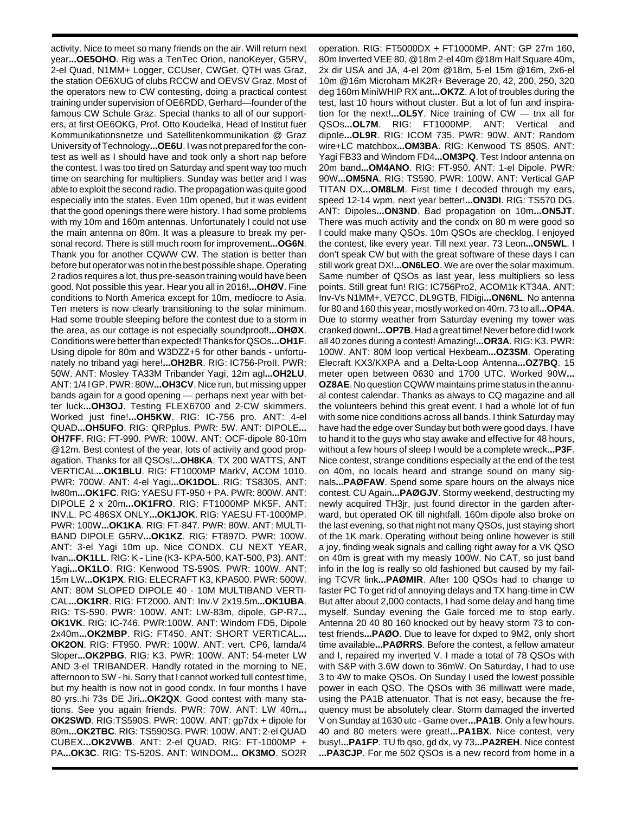activity. Nice to meet so many friends on the air. Will return next year**...OE5OHO**. Rig was a TenTec Orion, nanoKeyer, G5RV, 2-el Quad, N1MM+ Logger, CCUser, CWGet. QTH was Graz, the station OE6XUG of clubs RCCW and OEVSV Graz. Most of the operators new to CW contesting, doing a practical contest training under supervision of OE6RDD, Gerhard—founder of the famous CW Schule Graz. Special thanks to all of our supporters, at first OE6OKG, Prof. Otto Koudelka, Head of Institut fuer Kommunikationsnetze und Satellitenkommunikation @ Graz University of Technology**...OE6U**. I was not prepared for the contest as well as I should have and took only a short nap before the contest. I was too tired on Saturday and spent way too much time on searching for multipliers. Sunday was better and I was able to exploit the second radio. The propagation was quite good especially into the states. Even 10m opened, but it was evident that the good openings there were history. I had some problems with my 10m and 160m antennas. Unfortunately I could not use the main antenna on 80m. It was a pleasure to break my personal record. There is still much room for improvement**...OG6N**. Thank you for another CQWW CW. The station is better than before but operator was not in the best possible shape. Operating 2 radios requires a lot, thus pre-season training would have been good. Not possible this year. Hear you all in 2016!**...OHØV**. Fine conditions to North America except for 10m, mediocre to Asia. Ten meters is now clearly transitioning to the solar minimum. Had some trouble sleeping before the contest due to a storm in the area, as our cottage is not especially soundproof!**...OHØX**. Conditions were better than expected! Thanks for QSOs**...OH1F**. Using dipole for 80m and W3DZZ+5 for other bands - unfortunately no triband yagi here!**...OH2BR**. RIG: IC756-ProII. PWR: 50W. ANT: Mosley TA33M Tribander Yagi, 12m agl**...OH2LU**. ANT: 1/4 l GP. PWR: 80W**...OH3CV**. Nice run, but missing upper bands again for a good opening — perhaps next year with better luck**...OH3OJ**. Testing FLEX6700 and 2-CW skimmers. Worked just fine!**...OH5KW**. RIG: IC-756 pro. ANT: 4-el QUAD**...OH5UFO**. RIG: QRPplus. PWR: 5W. ANT: DIPOLE**... OH7FF**. RIG: FT-990. PWR: 100W. ANT: OCF-dipole 80-10m @12m. Best contest of the year, lots of activity and good propagation. Thanks for all QSOs!**...OH8KA**. TX 200 WATTS, ANT VERTICAL**...OK1BLU**. RIG: FT1000MP MarkV, ACOM 1010. PWR: 700W. ANT: 4-el Yagi**...OK1DOL**. RIG: TS830S. ANT: lw80m**...OK1FC**. RIG: YAESU FT-950 + PA. PWR: 800W. ANT: DIPOLE 2 x 20m**...OK1FRO**. RIG: FT1000MP MK5F. ANT: INV.L. PC 486SX ONLY**...OK1JOK**. RIG: YAESU FT-1000MP. PWR: 100W**...OK1KA**. RIG: FT-847. PWR: 80W. ANT: MULTI-BAND DIPOLE G5RV**...OK1KZ**. RIG: FT897D. PWR: 100W. ANT: 3-el Yagi 10m up. Nice CONDX. CU NEXT YEAR, Ivan**...OK1LL**. RIG: K - Line (K3- KPA-500, KAT-500, P3). ANT: Yagi**...OK1LO**. RIG: Kenwood TS-590S. PWR: 100W. ANT: 15m LW**...OK1PX**. RIG: ELECRAFT K3, KPA500. PWR: 500W. ANT: 80M SLOPED DIPOLE 40 - 10M MULTIBAND VERTI-CAL**...OK1RR**. RIG: FT2000. ANT: Inv.V 2x19.5m**...OK1UBA**. RIG: TS-590. PWR: 100W. ANT: LW-83m, dipole, GP-R7**... OK1VK**. RIG: IC-746. PWR:100W. ANT: Windom FD5, Dipole 2x40m**...OK2MBP**. RIG: FT450. ANT: SHORT VERTICAL**... OK2ON**. RIG: FT950. PWR: 100W. ANT: vert. CP6, lamda/4 Sloper**...OK2PBG**. RIG: K3. PWR: 100W. ANT: 54-meter LW AND 3-el TRIBANDER. Handly rotated in the morning to NE, afternoon to SW - hi. Sorry that I cannot worked full contest time, but my health is now not in good condx. In four months I have 80 yrs..hi 73s DE Jiri**...OK2QX**. Good contest with many stations. See you again friends. PWR: 70W. ANT: LW 40m**... OK2SWD**. RIG:TS590S. PWR: 100W. ANT: gp7dx + dipole for 80m**...OK2TBC**. RIG: TS590SG. PWR: 100W. ANT: 2-el QUAD CUBEX**...OK2VWB**. ANT: 2-el QUAD. RIG: FT-1000MP + PA**...OK3C**. RIG: TS-520S. ANT: WINDOM**... OK3MO**. SO2R

operation. RIG: FT5000DX + FT1000MP. ANT: GP 27m 160, 80m Inverted VEE 80, @18m 2-el 40m @18m Half Square 40m, 2x dir USA and JA, 4-el 20m @18m, 5-el 15m @16m, 2x6-el 10m @16m Microham MK2R+ Beverage 20, 42, 200, 250, 320 deg 160m MiniWHIP RX ant**...OK7Z**. A lot of troubles during the test, last 10 hours without cluster. But a lot of fun and inspiration for the next!**...OL5Y**. Nice training of CW — tnx all for QSOs**...OL7M**. RIG: FT1000MP. ANT: Vertical and dipole**...OL9R**. RIG: ICOM 735. PWR: 90W. ANT: Random wire+LC matchbox**...OM3BA**. RIG: Kenwood TS 850S. ANT: Yagi FB33 and Windom FD4**...OM3PQ**. Test Indoor antenna on 20m band**...OM4ANO**. RIG: FT-950. ANT: 1-el Dipole. PWR: 90W**...OM5NA**. RIG: TS590. PWR: 100W. ANT: Vertical GAP TITAN DX**...OM8LM**. First time I decoded through my ears, speed 12-14 wpm, next year better!**...ON3DI**. RIG: TS570 DG. ANT: Dipoles**...ON3ND**. Bad propagation on 10m**...ON5JT**. There was much activity and the condx on 80 m were good so I could make many QSOs. 10m QSOs are checklog. I enjoyed the contest, like every year. Till next year. 73 Leon**...ON5WL**. I don't speak CW but with the great software of these days I can still work great DX!**...ON6LEO**. We are over the solar maximum. Same number of QSOs as last year, less multipliers so less points. Still great fun! RIG: IC756Pro2, ACOM1k KT34A. ANT: Inv-Vs N1MM+, VE7CC, DL9GTB, FlDigi**...ON6NL**. No antenna for 80 and 160 this year, mostly worked on 40m. 73 to all**...OP4A**. Due to stormy weather from Saturday evening my tower was cranked down!**...OP7B**. Had a great time! Never before did I work all 40 zones during a contest! Amazing!**...OR3A**. RIG: K3. PWR: 100W. ANT: 80M loop vertical Hexbeam**...OZ3SM**. Operating Elecraft KX3/KXPA and a Delta-Loop Antenna**...OZ7BQ**. 15 meter open between 0630 and 1700 UTC. Worked 90W**... OZ8AE**. No question CQWW maintains prime status in the annual contest calendar. Thanks as always to CQ magazine and all the volunteers behind this great event. I had a whole lot of fun with some nice conditions across all bands. I think Saturday may have had the edge over Sunday but both were good days. I have to hand it to the guys who stay awake and effective for 48 hours, without a few hours of sleep I would be a complete wreck**...P3F**. Nice contest, strange conditions especially at the end of the test on 40m, no locals heard and strange sound on many signals**...PAØFAW**. Spend some spare hours on the always nice contest. CU Again**...PAØGJV**. Stormy weekend, destructing my newly acquired TH3jr, just found director in the garden afterward, but operated OK till nightfall. 160m dipole also broke on the last evening, so that night not many QSOs, just staying short of the 1K mark. Operating without being online however is still a joy, finding weak signals and calling right away for a VK QSO on 40m is great with my measly 100W. No CAT, so just band info in the log is really so old fashioned but caused by my failing TCVR link**...PAØMIR**. After 100 QSOs had to change to faster PC To get rid of annoying delays and TX hang-time in CW But after about 2,000 contacts, I had some delay and hang time myself. Sunday evening the Gale forced me to stop early. Antenna 20 40 80 160 knocked out by heavy storm 73 to contest friends**...PAØO**. Due to leave for dxped to 9M2, only short time available**...PAØRRS**. Before the contest, a fellow amateur and I, repaired my inverted V. I made a total of 78 QSOs with with S&P with 3.6W down to 36mW. On Saturday, I had to use 3 to 4W to make QSOs. On Sunday I used the lowest possible power in each QSO. The QSOs with 36 milliwatt were made, using the PA1B attenuator. That is not easy, because the frequency must be absolutely clear. Storm damaged the inverted V on Sunday at 1630 utc - Game over**...PA1B**. Only a few hours. 40 and 80 meters were great!**...PA1BX**. Nice contest, very busy!**...PA1FP**. TU fb qso, gd dx, vy 73**...PA2REH**. Nice contest **...PA3CJP**. For me 502 QSOs is a new record from home in a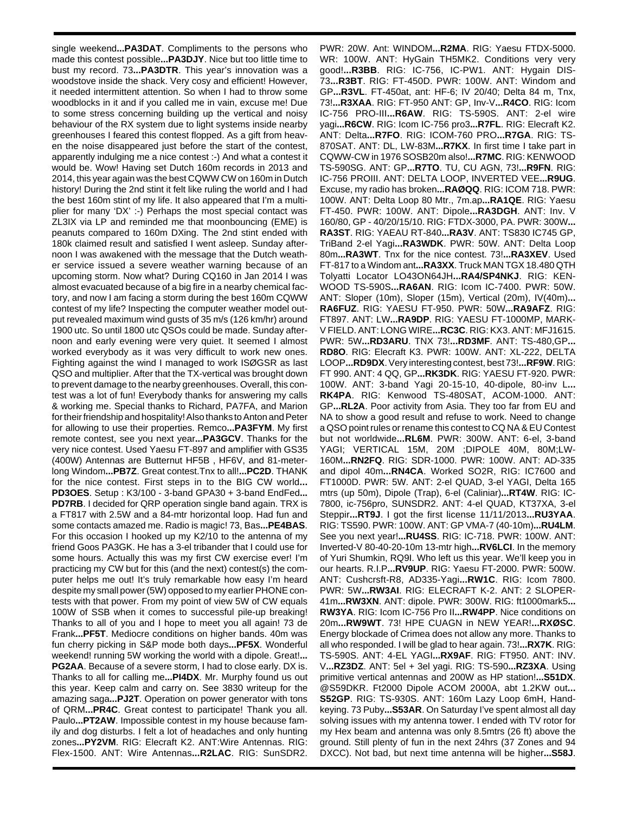single weekend**...PA3DAT**. Compliments to the persons who made this contest possible**...PA3DJY**. Nice but too little time to bust my record. 73**...PA3DTR**. This year's innovation was a woodstove inside the shack. Very cosy and efficient! However, it needed intermittent attention. So when I had to throw some woodblocks in it and if you called me in vain, excuse me! Due to some stress concerning building up the vertical and noisy behaviour of the RX system due to light systems inside nearby greenhouses I feared this contest flopped. As a gift from heaven the noise disappeared just before the start of the contest, apparently indulging me a nice contest :-) And what a contest it would be. Wow! Having set Dutch 160m records in 2013 and 2014, this year again was the best CQWW CW on 160m in Dutch history! During the 2nd stint it felt like ruling the world and I had the best 160m stint of my life. It also appeared that I'm a multiplier for many 'DX' :-) Perhaps the most special contact was ZL3IX via LP and reminded me that moonbouncing (EME) is peanuts compared to 160m DXing. The 2nd stint ended with 180k claimed result and satisfied I went asleep. Sunday afternoon I was awakened with the message that the Dutch weather service issued a severe weather warning because of an upcoming storm. Now what? During CQ160 in Jan 2014 I was almost evacuated because of a big fire in a nearby chemical factory, and now I am facing a storm during the best 160m CQWW contest of my life? Inspecting the computer weather model output revealed maximum wind gusts of 35 m/s (126 km/hr) around 1900 utc. So until 1800 utc QSOs could be made. Sunday afternoon and early evening were very quiet. It seemed I almost worked everybody as it was very difficult to work new ones. Fighting against the wind I managed to work ISØGSR as last QSO and multiplier. After that the TX-vertical was brought down to prevent damage to the nearby greenhouses. Overall, this contest was a lot of fun! Everybody thanks for answering my calls & working me. Special thanks to Richard, PA7FA, and Marion for their friendship and hospitality! Also thanks to Anton and Peter for allowing to use their properties. Remco**...PA3FYM**. My first remote contest, see you next year**...PA3GCV**. Thanks for the very nice contest. Used Yaesu FT-897 and amplifier with GS35 (400W) Antennas are Butternut HF5B , HF6V, and 81-meterlong Windom**...PB7Z**. Great contest.Tnx to all!**...PC2D**. THANK for the nice contest. First steps in to the BIG CW world**... PD3OES**. Setup : K3/100 - 3-band GPA30 + 3-band EndFed**... PD7RB**. I decided for QRP operation single band again. TRX is a FT817 with 2.5W and a 84-mtr horizontal loop. Had fun and some contacts amazed me. Radio is magic! 73, Bas**...PE4BAS**. For this occasion I hooked up my K2/10 to the antenna of my friend Goos PA3GK. He has a 3-el tribander that I could use for some hours. Actually this was my first CW exercise ever! I'm practicing my CW but for this (and the next) contest(s) the computer helps me out! It's truly remarkable how easy I'm heard despite my small power (5W) opposed to my earlier PHONE contests with that power. From my point of view 5W of CW equals 100W of SSB when it comes to successful pile-up breaking! Thanks to all of you and I hope to meet you all again! 73 de Frank**...PF5T**. Mediocre conditions on higher bands. 40m was fun cherry picking in S&P mode both days**...PF5X**. Wonderful weekend! running 5W working the world with a dipole. Great!**... PG2AA**. Because of a severe storm, I had to close early. DX is. Thanks to all for calling me**...PI4DX**. Mr. Murphy found us out this year. Keep calm and carry on. See 3830 writeup for the amazing saga**...PJ2T**. Operation on power generator with tons of QRM**...PR4C**. Great contest to participate! Thank you all. Paulo**...PT2AW**. Impossible contest in my house because family and dog disturbs. I felt a lot of headaches and only hunting zones**...PY2VM**. RIG: Elecraft K2. ANT:Wire Antennas. RIG: Flex-1500. ANT: Wire Antennas**...R2LAC**. RIG: SunSDR2.

PWR: 20W. Ant: WINDOM**...R2MA**. RIG: Yaesu FTDX-5000. WR: 100W. ANT: HyGain TH5MK2. Conditions very very good!**...R3BB**. RIG: IC-756, IC-PW1. ANT: Hygain DIS-73**...R3BT**. RIG: FT-450D. PWR: 100W. ANT: Windom and GP**...R3VL**. FT-450at, ant: HF-6; IV 20/40; Delta 84 m, Tnx, 73!**...R3XAA**. RIG: FT-950 ANT: GP, Inv-V**...R4CO**. RIG: Icom IC-756 PRO-III**...R6AW**. RIG: TS-590S. ANT: 2-el wire yagi**...R6CW**. RIG: Icom IC-756 pro3**...R7FL**. RIG: Elecraft K2. ANT: Delta**...R7FO**. RIG: ICOM-760 PRO**...R7GA**. RIG: TS-870SAT. ANT: DL, LW-83M**...R7KX**. In first time I take part in CQWW-CW in 1976 SOSB20m also!**...R7MC**. RIG: KENWOOD TS-590SG. ANT: GP**...R7TO**. TU, CU AGN, 73!**...R9FN**. RIG: IC-756 PROIII. ANT: DELTA LOOP, INVERTED VEE**...R9UG**. Excuse, my radio has broken**...RAØQQ**. RIG: ICOM 718. PWR: 100W. ANT: Delta Loop 80 Mtr., 7m.ap**...RA1QE**. RIG: Yaesu FT-450. PWR: 100W. ANT: Dipole**...RA3DGH**. ANT: Inv. V 160/80, GP - 40/20/15/10. RIG: FTDX-3000, PA. PWR: 300W**... RA3ST**. RIG: YAEAU RT-840**...RA3V**. ANT: TS830 IC745 GP, TriBand 2-el Yagi**...RA3WDK**. PWR: 50W. ANT: Delta Loop 80m**...RA3WT**. Tnx for the nice contest. 73!**...RA3XEV**. Used FT-817 to a Windom ant**...RA3XX**. Truck MAN TGX 18.480 QTH Tolyatti Locator LO43ON64JH**...RA4/SP4NKJ**. RIG: KEN-WOOD TS-590S**...RA6AN**. RIG: Icom IC-7400. PWR: 50W. ANT: Sloper (10m), Sloper (15m), Vertical (20m), IV(40m)**... RA6FUZ**. RIG: YAESU FT-950. PWR: 50W**...RA9AFZ**. RIG: FT897. ANT: LW**...RA9DP**. RIG: YAESU FT-1000MP, MARK-V FIELD. ANT: LONG WIRE**...RC3C**. RIG: KX3. ANT: MFJ1615. PWR: 5W**...RD3ARU**. TNX 73!**...RD3MF**. ANT: TS-480,GP**... RD8O**. RIG: Elecraft K3. PWR: 100W. ANT: XL-222, DELTA LOOP**...RD9DX**. Very interesting contest, best 73!**...RF9W**. RIG: FT 990. ANT: 4 QQ, GP**...RK3DK**. RIG: YAESU FT-920. PWR: 100W. ANT: 3-band Yagi 20-15-10, 40-dipole, 80-inv L**... RK4PA**. RIG: Kenwood TS-480SAT, ACOM-1000. ANT: GP**...RL2A**. Poor activity from Asia. They too far from EU and NA to show a good result and refuse to work. Need to change a QSO point rules or rename this contest to CQ NA & EU Contest but not worldwide**...RL6M**. PWR: 300W. ANT: 6-el, 3-band YAGI; VERTICAL 15M, 20M ;DIPOLE 40M, 80M;LW-160M**...RN2FQ**. RIG: SDR-1000. PWR: 100W. ANT: AD-335 and dipol 40m**...RN4CA**. Worked SO2R, RIG: IC7600 and FT1000D. PWR: 5W. ANT: 2-el QUAD, 3-el YAGI, Delta 165 mtrs (up 50m), Dipole (Trap), 6-el (Caliniar)**...RT4W**. RIG: IC-7800, ic-756pro, SUNSDR2. ANT: 4-el QUAD, KT37XA, 3-el Steppir**...RT9J**. I got the first license 11/11/2013**...RU3YAA**. RIG: TS590. PWR: 100W. ANT: GP VMA-7 (40-10m)**...RU4LM**. See you next year!**...RU4SS**. RIG: IC-718. PWR: 100W. ANT: Inverted-V 80-40-20-10m 13-mtr high**...RV6LCI**. In the memory of Yuri Shumkin, RQ9I. Who left us this year. We'll keep you in our hearts. R.I.P**...RV9UP**. RIG: Yaesu FT-2000. PWR: 500W. ANT: Cushcrsft-R8, AD335-Yagi**...RW1C**. RIG: Icom 7800. PWR: 5W**...RW3AI**. RIG: ELECRAFT K-2. ANT: 2 SLOPER-41m**...RW3XN**. ANT: dipole. PWR: 300W. RIG: ft1000mark5**... RW3YA**. RIG: Icom IC-756 Pro II**...RW4PP**. Nice conditions on 20m**...RW9WT**. 73! HPE CUAGN in NEW YEAR!**...RXØSC**. Energy blockade of Crimea does not allow any more. Thanks to all who responded. I will be glad to hear again. 73!**...RX7K**. RIG: TS-590S. ANT: 4-EL YAGI**...RX9AF**. RIG: FT950. ANT: INV. V**...RZ3DZ**. ANT: 5el + 3el yagi. RIG: TS-590**...RZ3XA**. Using primitive vertical antennas and 200W as HP station!**...S51DX**. @S59DKR. Ft2000 Dipole ACOM 2000A, abt 1.2KW out**... S52GP**. RIG: TS-930S. ANT: 160m Lazy Loop 6mH, Handkeying. 73 Puby**...S53AR**. On Saturday I've spent almost all day solving issues with my antenna tower. I ended with TV rotor for my Hex beam and antenna was only 8.5mtrs (26 ft) above the ground. Still plenty of fun in the next 24hrs (37 Zones and 94 DXCC). Not bad, but next time antenna will be higher**...S58J**.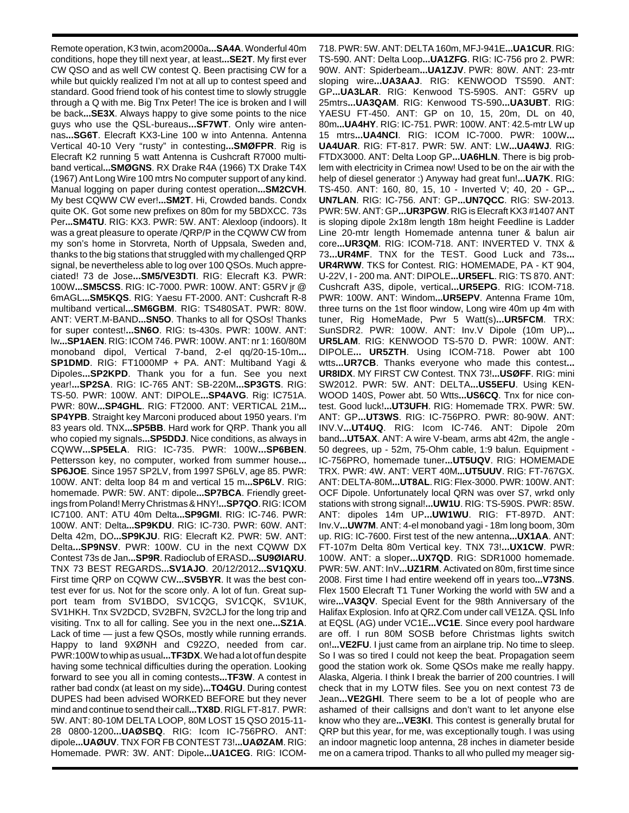Remote operation, K3 twin, acom2000a**...SA4A**. Wonderful 40m conditions, hope they till next year, at least**...SE2T**. My first ever CW QSO and as well CW contest Q. Been practising CW for a while but quickly realized I'm not at all up to contest speed and standard. Good friend took of his contest time to slowly struggle through a Q with me. Big Tnx Peter! The ice is broken and I will be back**...SE3X**. Always happy to give some points to the nice guys who use the QSL-bureaus**...SF7WT**. Only wire antennas**...SG6T**. Elecraft KX3-Line 100 w into Antenna. Antenna Vertical 40-10 Very "rusty" in contesting**...SMØFPR**. Rig is Elecraft K2 running 5 watt Antenna is Cushcraft R7000 multiband vertical**...SMØGNS**. RX Drake R4A (1966) TX Drake T4X (1967) Ant Long Wire 100 mtrs No computer support of any kind. Manual logging on paper during contest operation**...SM2CVH**. My best CQWW CW ever!**...SM2T**. Hi, Crowded bands. Condx quite OK. Got some new prefixes on 80m for my 5BDXCC. 73s Per**...SM4TU**. RIG: KX3. PWR: 5W. ANT: Alexloop (indoors). It was a great pleasure to operate /QRP/P in the CQWW CW from my son's home in Storvreta, North of Uppsala, Sweden and, thanks to the big stations that struggled with my challenged QRP signal, be nevertheless able to log over 100 QSOs. Much appreciated! 73 de Jose**...SM5/VE3DTI**. RIG: Elecraft K3. PWR: 100W**...SM5CSS**. RIG: IC-7000. PWR: 100W. ANT: G5RV jr @ 6mAGL**...SM5KQS**. RIG: Yaesu FT-2000. ANT: Cushcraft R-8 multiband vertical**...SM6GBM**. RIG: TS480SAT. PWR: 80W. ANT: VERT.M-BAND**...SN5O**. Thanks to all for QSOs! Thanks for super contest!**...SN6O**. RIG: ts-430s. PWR: 100W. ANT: lw**...SP1AEN**. RIG: ICOM 746. PWR: 100W. ANT: nr 1: 160/80M monoband dipol, Vertical 7-band, 2-el qq/20-15-10m**... SP1DMD**. RIG: FT1000MP + PA. ANT: Multiband Yagi & Dipoles**...SP2KPD**. Thank you for a fun. See you next year!**...SP2SA**. RIG: IC-765 ANT: SB-220M**...SP3GTS**. RIG: TS-50. PWR: 100W. ANT: DIPOLE**...SP4AVG**. Rig: IC751A. PWR: 80W**...SP4GHL**. RIG: FT2000. ANT: VERTICAL 21M**... SP4YPB**. Straight key Marconi produced about 1950 years. I'm 83 years old. TNX**...SP5BB**. Hard work for QRP. Thank you all who copied my signals**...SP5DDJ**. Nice conditions, as always in CQWW**...SP5ELA**. RIG: IC-735. PWR: 100W**...SP6BEN**. Pettersson key, no computer, worked from summer house**... SP6JOE**. Since 1957 SP2LV, from 1997 SP6LV, age 85. PWR: 100W. ANT: delta loop 84 m and vertical 15 m**...SP6LV**. RIG: homemade. PWR: 5W. ANT: dipole**...SP7BCA**. Friendly greetings from Poland! Merry Christmas & HNY!**...SP7QO**. RIG: ICOM IC7100. ANT: ATU 40m Delta**...SP9GMI**. RIG: IC-746. PWR: 100W. ANT: Delta**...SP9KDU**. RIG: IC-730. PWR: 60W. ANT: Delta 42m, DO**...SP9KJU**. RIG: Elecraft K2. PWR: 5W. ANT: Delta**...SP9NSV**. PWR: 100W. CU in the next CQWW DX Contest 73s de Jan**...SP9R**. Radioclub of ERASD**...SU9ØIARU**. TNX 73 BEST REGARDS**...SV1AJO**. 20/12/2012**...SV1QXU**. First time QRP on CQWW CW**...SV5BYR**. It was the best contest ever for us. Not for the score only. A lot of fun. Great support team from SV1BDO, SV1CQG, SV1CQK, SV1UK, SV1HKH. Tnx SV2DCD, SV2BFN, SV2CLJ for the long trip and visiting. Tnx to all for calling. See you in the next one**...SZ1A**. Lack of time — just a few QSOs, mostly while running errands. Happy to land 9XØNH and C92ZO, needed from car. PWR:100W to whip as usual**...TF3DX**. We had a lot of fun despite having some technical difficulties during the operation. Looking forward to see you all in coming contests**...TF3W**. A contest in rather bad condx (at least on my side)**...TO4GU**. During contest DUPES had been advised WORKED BEFORE but they never mind and continue to send their call**...TX8D**. RIGL FT-817. PWR: 5W. ANT: 80-10M DELTA LOOP, 80M LOST 15 QSO 2015-11- 28 0800-1200**...UAØSBQ**. RIG: Icom IC-756PRO. ANT: dipole**...UAØUV**. TNX FOR FB CONTEST 73!**...UAØZAM**. RIG: Homemade. PWR: 3W. ANT: Dipole**...UA1CEG**. RIG: ICOM-

718. PWR: 5W. ANT: DELTA 160m, MFJ-941E**...UA1CUR**. RIG: TS-590. ANT: Delta Loop**...UA1ZFG**. RIG: IC-756 pro 2. PWR: 90W. ANT: Spiderbeam**...UA1ZJV**. PWR: 80W. ANT: 23-mtr sloping wire**...UA3AAJ**. RIG: KENWOOD TS590. ANT: GP**...UA3LAR**. RIG: Kenwood TS-590S. ANT: G5RV up 25mtrs**...UA3QAM**. RIG: Kenwood TS-590**...UA3UBT**. RIG: YAESU FT-450. ANT: GP on 10, 15, 20m, DL on 40, 80m**...UA4HY**. RIG: IC-751. PWR: 100W. ANT: 42.5-mtr LW up 15 mtrs**...UA4NCI**. RIG: ICOM IC-7000. PWR: 100W**... UA4UAR**. RIG: FT-817. PWR: 5W. ANT: LW**...UA4WJ**. RIG: FTDX3000. ANT: Delta Loop GP**...UA6HLN**. There is big problem with electricity in Crimea now! Used to be on the air with the help of diesel generator :) Anyway had great fun!**...UA7K**. RIG: TS-450. ANT: 160, 80, 15, 10 - Inverted V; 40, 20 - GP**... UN7LAN**. RIG: IC-756. ANT: GP**...UN7QCC**. RIG: SW-2013. PWR: 5W. ANT: GP**...UR3PGW**. RIG is Elecraft KX3 #1407 ANT is sloping dipole 2x18m length 18m height Feedline is Ladder Line 20-mtr length Homemade antenna tuner & balun air core**...UR3QM**. RIG: ICOM-718. ANT: INVERTED V. TNX & 73**...UR4MF**. TNX for the TEST. Good Luck and 73s**... UR4RWW**. TKS for Contest. RIG: HOMEMADE, PA - KT 904, U-22V, I - 200 ma. ANT: DIPOLE**...UR5EFL**. RIG: TS 870. ANT: Cushcraft A3S, dipole, vertical**...UR5EPG**. RIG: ICOM-718. PWR: 100W. ANT: Windom**...UR5EPV**. Antenna Frame 10m, three turns on the 1st floor window, Long wire 40m up 4m with tuner, Rig HomeMade, Pwr 5 Watt(s)**...UR5FCM**. TRX: SunSDR2. PWR: 100W. ANT: Inv.V Dipole (10m UP)**... UR5LAM**. RIG: KENWOOD TS-570 D. PWR: 100W. ANT: DIPOLE**... UR5ZTH**. Using ICOM-718. Power abt 100 wtts**...UR7CB**. Thanks everyone who made this contest**... UR8IDX**. MY FIRST CW Contest. TNX 73!**...USØFF**. RIG: mini SW2012. PWR: 5W. ANT: DELTA**...US5EFU**. Using KEN-WOOD 140S, Power abt. 50 Wtts**...US6CQ**. Tnx for nice contest. Good luck!**...UT3UFH**. RIG: Homemade TRX. PWR: 5W. ANT: GP**...UT3WS**. RIG: IC-756PRO. PWR: 80-90W. ANT: INV.V**...UT4UQ**. RIG: Icom IC-746. ANT: Dipole 20m band**...UT5AX**. ANT: A wire V-beam, arms abt 42m, the angle - 50 degrees, up - 52m, 75-Ohm cable, 1:9 balun. Equipment - IC-756PRO, homemade tuner**...UT5UQV**. RIG: HOMEMADE TRX. PWR: 4W. ANT: VERT 40M**...UT5UUV**. RIG: FT-767GX. ANT: DELTA-80M**...UT8AL**. RIG: Flex-3000. PWR: 100W. ANT: OCF Dipole. Unfortunately local QRN was over S7, wrkd only stations with strong signal!**...UW1U**. RIG: TS-590S. PWR: 85W. ANT: dipoles 14m UP**...UW1WU**. RIG: FT-897D. ANT: Inv.V**...UW7M**. ANT: 4-el monoband yagi - 18m long boom, 30m up. RIG: IC-7600. First test of the new antenna**...UX1AA**. ANT: FT-107m Delta 80m Vertical key. TNX 73!**...UX1CW**. PWR: 100W. ANT: a sloper**...UX7QD**. RIG: SDR1000 homemade. PWR: 5W. ANT: InV**...UZ1RM**. Activated on 80m, first time since 2008. First time I had entire weekend off in years too**...V73NS**. Flex 1500 Elecraft T1 Tuner Working the world with 5W and a wire**...VA3QV**. Special Event for the 98th Anniversary of the Halifax Explosion. Info at QRZ.Com under call VE1ZA. QSL Info at EQSL (AG) under VC1E**...VC1E**. Since every pool hardware are off. I run 80M SOSB before Christmas lights switch on!**...VE2FU**. I just came from an airplane trip. No time to sleep. So I was so tired I could not keep the beat. Propagation seem good the station work ok. Some QSOs make me really happy. Alaska, Algeria. I think I break the barrier of 200 countries. I will check that in my LOTW files. See you on next contest 73 de Jean**...VE2GHI**. There seem to be a lot of people who are ashamed of their callsigns and don't want to let anyone else know who they are**...VE3KI**. This contest is generally brutal for QRP but this year, for me, was exceptionally tough. I was using an indoor magnetic loop antenna, 28 inches in diameter beside me on a camera tripod. Thanks to all who pulled my meager sig-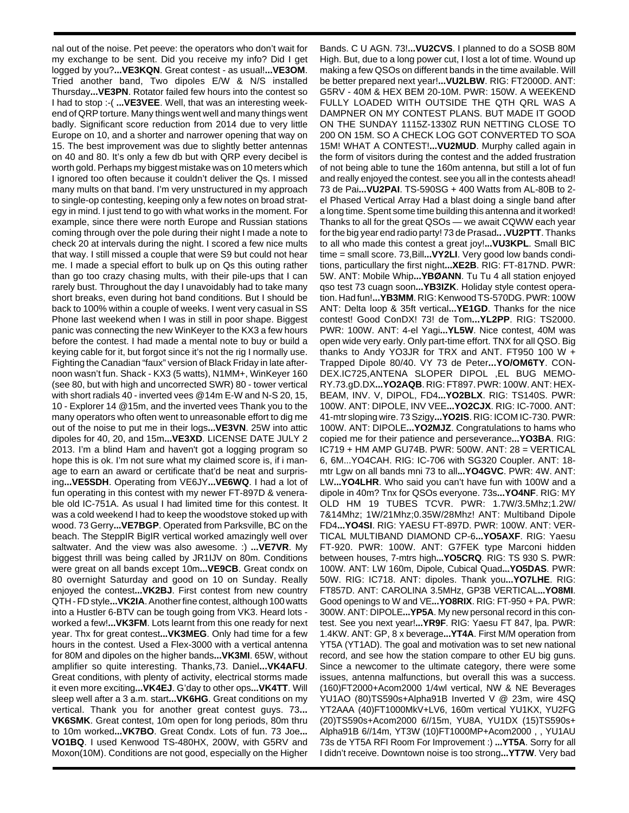nal out of the noise. Pet peeve: the operators who don't wait for my exchange to be sent. Did you receive my info? Did I get logged by you?**...VE3KQN**. Great contest - as usual!**...VE3OM**. Tried another band, Two dipoles E/W & N/S installed Thursday**...VE3PN**. Rotator failed few hours into the contest so I had to stop :-( **...VE3VEE**. Well, that was an interesting weekend of QRP torture. Many things went well and many things went badly. Significant score reduction from 2014 due to very little Europe on 10, and a shorter and narrower opening that way on 15. The best improvement was due to slightly better antennas on 40 and 80. It's only a few db but with QRP every decibel is worth gold. Perhaps my biggest mistake was on 10 meters which I ignored too often because it couldn't deliver the Qs. I missed many mults on that band. I'm very unstructured in my approach to single-op contesting, keeping only a few notes on broad strategy in mind. I just tend to go with what works in the moment. For example, since there were north Europe and Russian stations coming through over the pole during their night I made a note to check 20 at intervals during the night. I scored a few nice mults that way. I still missed a couple that were S9 but could not hear me. I made a special effort to bulk up on Qs this outing rather than go too crazy chasing mults, with their pile-ups that I can rarely bust. Throughout the day I unavoidably had to take many short breaks, even during hot band conditions. But I should be back to 100% within a couple of weeks. I went very casual in SS Phone last weekend when I was in still in poor shape. Biggest panic was connecting the new WinKeyer to the KX3 a few hours before the contest. I had made a mental note to buy or build a keying cable for it, but forgot since it's not the rig I normally use. Fighting the Canadian "faux" version of Black Friday in late afternoon wasn't fun. Shack - KX3 (5 watts), N1MM+, WinKeyer 160 (see 80, but with high and uncorrected SWR) 80 - tower vertical with short radials 40 - inverted vees @14m E-W and N-S 20, 15, 10 - Explorer 14 @15m, and the inverted vees Thank you to the many operators who often went to unreasonable effort to dig me out of the noise to put me in their logs**...VE3VN**. 25W into attic dipoles for 40, 20, and 15m**...VE3XD**. LICENSE DATE JULY 2 2013. I'm a blind Ham and haven't got a logging program so hope this is ok. I'm not sure what my claimed score is, if i manage to earn an award or certificate that'd be neat and surprising**...VE5SDH**. Operating from VE6JY**...VE6WQ**. I had a lot of fun operating in this contest with my newer FT-897D & venerable old IC-751A. As usual I had limited time for this contest. It was a cold weekend I had to keep the woodstove stoked up with wood. 73 Gerry**...VE7BGP**. Operated from Parksville, BC on the beach. The SteppIR BigIR vertical worked amazingly well over saltwater. And the view was also awesome. :) **...VE7VR**. My biggest thrill was being called by JR1IJV on 80m. Conditions were great on all bands except 10m**...VE9CB**. Great condx on 80 overnight Saturday and good on 10 on Sunday. Really enjoyed the contest**...VK2BJ**. First contest from new country QTH - FD style**...VK2IA**. Another fine contest, although 100 watts into a Hustler 6-BTV can be tough going from VK3. Heard lots worked a few!**...VK3FM**. Lots learnt from this one ready for next year. Thx for great contest**...VK3MEG**. Only had time for a few hours in the contest. Used a Flex-3000 with a vertical antenna for 80M and dipoles on the higher bands**...VK3MI**. 65W, without amplifier so quite interesting. Thanks,73. Daniel**...VK4AFU**. Great conditions, with plenty of activity, electrical storms made it even more exciting**...VK4EJ**. G'day to other ops**...VK4TT**. Will sleep well after a 3 a.m. start**...VK6HG**. Great conditions on my vertical. Thank you for another great contest guys. 73**... VK6SMK**. Great contest, 10m open for long periods, 80m thru to 10m worked**...VK7BO**. Great Condx. Lots of fun. 73 Joe**... VO1BQ**. I used Kenwood TS-480HX, 200W, with G5RV and Moxon(10M). Conditions are not good, especially on the Higher

Bands. C U AGN. 73!**...VU2CVS**. I planned to do a SOSB 80M High. But, due to a long power cut, I lost a lot of time. Wound up making a few QSOs on different bands in the time available. Will be better prepared next year!**...VU2LBW**. RIG: FT2000D. ANT: G5RV - 40M & HEX BEM 20-10M. PWR: 150W. A WEEKEND FULLY LOADED WITH OUTSIDE THE QTH QRL WAS A DAMPNER ON MY CONTEST PLANS. BUT MADE IT GOOD ON THE SUNDAY 1115Z-1330Z RUN NETTING CLOSE TO 200 ON 15M. SO A CHECK LOG GOT CONVERTED TO SOA 15M! WHAT A CONTEST!**...VU2MUD**. Murphy called again in the form of visitors during the contest and the added frustration of not being able to tune the 160m antenna, but still a lot of fun and really enjoyed the contest. see you all in the contests ahead! 73 de Pai**...VU2PAI**. TS-590SG + 400 Watts from AL-80B to 2 el Phased Vertical Array Had a blast doing a single band after a long time. Spent some time building this antenna and it worked! Thanks to all for the great QSOs — we await CQWW each year for the big year end radio party! 73 de Prasad**.. .VU2PTT**. Thanks to all who made this contest a great joy!**...VU3KPL**. Small BIC time = small score. 73,Bill**...VY2LI**. Very good low bands conditions, particullary the first night**...XE2B**. RIG: FT-817ND. PWR: 5W. ANT: Mobile Whip**...YBØANN**. Tu Tu 4 all station enjoyed qso test 73 cuagn soon**...YB3IZK**. Holiday style contest operation. Had fun!**...YB3MM**. RIG: Kenwood TS-570DG. PWR: 100W ANT: Delta loop & 35ft vertical**...YE1GD**. Thanks for the nice contest! Good ConDX! 73! de Tom**...YL2PP**. RIG: TS2000. PWR: 100W. ANT: 4-el Yagi**...YL5W**. Nice contest, 40M was open wide very early. Only part-time effort. TNX for all QSO. Big thanks to Andy YO3JR for TRX and ANT. FT950 100 W + Trapped Dipole 80/40. VY 73 de Peter**...YO/OM6TY**. CON-DEX.IC725,ANTENA SLOPER DIPOL ,EL BUG MEMO-RY.73.gD.DX**...YO2AQB**. RIG: FT897. PWR: 100W. ANT: HEX-BEAM, INV. V, DIPOL, FD4**...YO2BLX**. RIG: TS140S. PWR: 100W. ANT: DIPOLE, INV VEE**...YO2CJX**. RIG: IC-7000. ANT: 41-mtr sloping wire. 73 Szigy**...YO2IS**. RIG: ICOM IC-730. PWR: 100W. ANT: DIPOLE**...YO2MJZ**. Congratulations to hams who copied me for their patience and perseverance**...YO3BA**. RIG: IC719 + HM AMP GU74B. PWR: 500W. ANT: 28 = VERTICAL 6, 6M...YO4CAH. RIG: IC-706 with SG320 Coupler. ANT: 18 mtr Lgw on all bands mni 73 to all**...YO4GVC**. PWR: 4W. ANT: LW**...YO4LHR**. Who said you can't have fun with 100W and a dipole in 40m? Tnx for QSOs everyone. 73s**...YO4NF**. RIG: MY OLD HM 19 TUBES TCVR. PWR: 1.7W/3.5Mhz;1.2W/ 7&14Mhz; 1W/21Mhz;0.35W/28Mhz! ANT: Multiband Dipole FD4**...YO4SI**. RIG: YAESU FT-897D. PWR: 100W. ANT: VER-TICAL MULTIBAND DIAMOND CP-6**...YO5AXF**. RIG: Yaesu FT-920. PWR: 100W. ANT: G7FEK type Marconi hidden between houses, 7-mtrs high**...YO5CRQ**. RIG: TS 930 S. PWR: 100W. ANT: LW 160m, Dipole, Cubical Quad**...YO5DAS**. PWR: 50W. RIG: IC718. ANT: dipoles. Thank you**...YO7LHE**. RIG: FT857D. ANT: CAROLINA 3.5MHz, GP3B VERTICAL**...YO8MI**. Good openings to W and VE**...YO8RIX**. RIG: FT-950 + PA. PWR: 300W. ANT: DIPOLE**...YP5A**. My new personal record in this contest. See you next year!**...YR9F**. RIG: Yaesu FT 847, lpa. PWR: 1.4KW. ANT: GP, 8 x beverage**...YT4A**. First M/M operation from YT5A (YT1AD). The goal and motivation was to set new national record, and see how the station compare to other EU big guns. Since a newcomer to the ultimate category, there were some issues, antenna malfunctions, but overall this was a success. (160)FT2000+Acom2000 1/4wl vertical, NW & NE Beverages YU1AO (80)TS590s+Alpha91B Inverted V @ 23m, wire 4SQ YT2AAA (40)FT1000MkV+LV6, 160m vertical YU1KX, YU2FG (20)TS590s+Acom2000 6//15m, YU8A, YU1DX (15)TS590s+ Alpha91B 6//14m, YT3W (10)FT1000MP+Acom2000 , , YU1AU 73s de YT5A RFI Room For Improvement :) **...YT5A**. Sorry for all I didn't receive. Downtown noise is too strong**...YT7W**. Very bad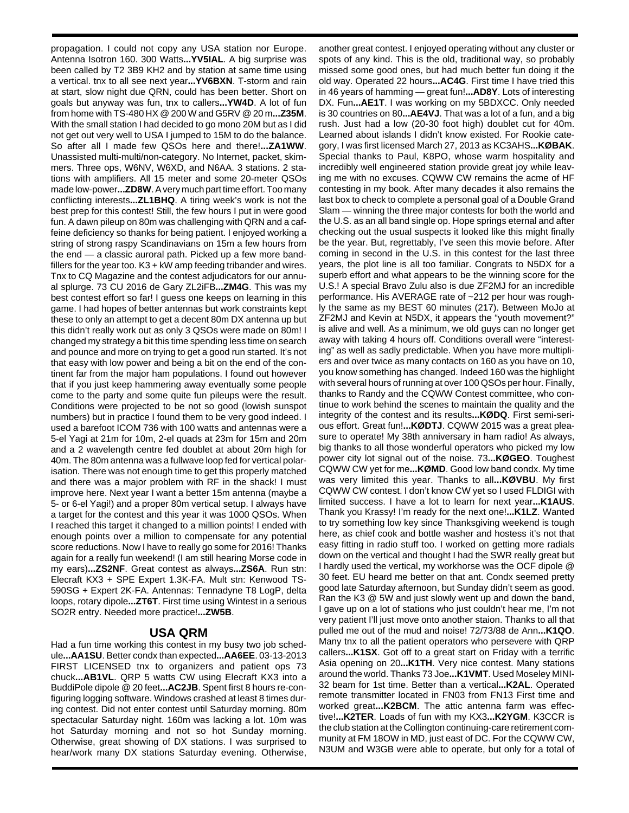propagation. I could not copy any USA station nor Europe. Antenna Isotron 160. 300 Watts**...YV5IAL**. A big surprise was been called by T2 3B9 KH2 and by station at same time using a vertical. tnx to all see next year**...YV6BXN**. T-storm and rain at start, slow night due QRN, could has been better. Short on goals but anyway was fun, tnx to callers**...YW4D**. A lot of fun from home with TS-480 HX @ 200 W and G5RV @ 20 m**...Z35M**. With the small station I had decided to go mono 20M but as I did not get out very well to USA I jumped to 15M to do the balance. So after all I made few QSOs here and there!**...ZA1WW**. Unassisted multi-multi/non-category. No Internet, packet, skimmers. Three ops, W6NV, W6XD, and N6AA. 3 stations. 2 stations with amplifiers. All 15 meter and some 20-meter QSOs made low-power**...ZD8W**. A very much part time effort. Too many conflicting interests**...ZL1BHQ**. A tiring week's work is not the best prep for this contest! Still, the few hours I put in were good fun. A dawn pileup on 80m was challenging with QRN and a caffeine deficiency so thanks for being patient. I enjoyed working a string of strong raspy Scandinavians on 15m a few hours from the end — a classic auroral path. Picked up a few more bandfillers for the year too.  $K3 + kW$  amp feeding tribander and wires. Tnx to CQ Magazine and the contest adjudicators for our annual splurge. 73 CU 2016 de Gary ZL2iFB**...ZM4G**. This was my best contest effort so far! I guess one keeps on learning in this game. I had hopes of better antennas but work constraints kept these to only an attempt to get a decent 80m DX antenna up but this didn't really work out as only 3 QSOs were made on 80m! I changed my strategy a bit this time spending less time on search and pounce and more on trying to get a good run started. It's not that easy with low power and being a bit on the end of the continent far from the major ham populations. I found out however that if you just keep hammering away eventually some people come to the party and some quite fun pileups were the result. Conditions were projected to be not so good (lowish sunspot numbers) but in practice I found them to be very good indeed. I used a barefoot ICOM 736 with 100 watts and antennas were a 5-el Yagi at 21m for 10m, 2-el quads at 23m for 15m and 20m and a 2 wavelength centre fed doublet at about 20m high for 40m. The 80m antenna was a fullwave loop fed for vertical polarisation. There was not enough time to get this properly matched and there was a major problem with RF in the shack! I must improve here. Next year I want a better 15m antenna (maybe a 5- or 6-el Yagi!) and a proper 80m vertical setup. I always have a target for the contest and this year it was 1000 QSOs. When I reached this target it changed to a million points! I ended with enough points over a million to compensate for any potential score reductions. Now I have to really go some for 2016! Thanks again for a really fun weekend! (I am still hearing Morse code in my ears)**...ZS2NF**. Great contest as always**...ZS6A**. Run stn: Elecraft KX3 + SPE Expert 1.3K-FA. Mult stn: Kenwood TS-590SG + Expert 2K-FA. Antennas: Tennadyne T8 LogP, delta loops, rotary dipole**...ZT6T**. First time using Wintest in a serious SO2R entry. Needed more practice!**...ZW5B**.

## **USA QRM**

Had a fun time working this contest in my busy two job schedule**...AA1SU**. Better condx than expected**...AA6EE**. 03-13-2013 FIRST LICENSED tnx to organizers and patient ops 73 chuck**...AB1VL**. QRP 5 watts CW using Elecraft KX3 into a BuddiPole dipole @ 20 feet**...AC2JB**. Spent first 8 hours re-configuring logging software. Windows crashed at least 8 times during contest. Did not enter contest until Saturday morning. 80m spectacular Saturday night. 160m was lacking a lot. 10m was hot Saturday morning and not so hot Sunday morning. Otherwise, great showing of DX stations. I was surprised to hear/work many DX stations Saturday evening. Otherwise,

another great contest. I enjoyed operating without any cluster or spots of any kind. This is the old, traditional way, so probably missed some good ones, but had much better fun doing it the old way. Operated 22 hours**...AC4G**. First time I have tried this in 46 years of hamming — great fun!**...AD8Y**. Lots of interesting DX. Fun**...AE1T**. I was working on my 5BDXCC. Only needed is 30 countries on 80**...AE4VJ**. That was a lot of a fun, and a big rush. Just had a low (20-30 foot high) doublet cut for 40m. Learned about islands I didn't know existed. For Rookie category, I was first licensed March 27, 2013 as KC3AHS**...KØBAK**. Special thanks to Paul, K8PO, whose warm hospitality and incredibly well engineered station provide great joy while leaving me with no excuses. CQWW CW remains the acme of HF contesting in my book. After many decades it also remains the last box to check to complete a personal goal of a Double Grand Slam — winning the three major contests for both the world and the U.S. as an all band single op. Hope springs eternal and after checking out the usual suspects it looked like this might finally be the year. But, regrettably, I've seen this movie before. After coming in second in the U.S. in this contest for the last three years, the plot line is all too familiar. Congrats to N5DX for a superb effort and what appears to be the winning score for the U.S.! A special Bravo Zulu also is due ZF2MJ for an incredible performance. His AVERAGE rate of ~212 per hour was roughly the same as my BEST 60 minutes (217). Between MoJo at ZF2MJ and Kevin at N5DX, it appears the "youth movement?" is alive and well. As a minimum, we old guys can no longer get away with taking 4 hours off. Conditions overall were "interesting" as well as sadly predictable. When you have more multipliers and over twice as many contacts on 160 as you have on 10, you know something has changed. Indeed 160 was the highlight with several hours of running at over 100 QSOs per hour. Finally, thanks to Randy and the CQWW Contest committee, who continue to work behind the scenes to maintain the quality and the integrity of the contest and its results**...KØDQ**. First semi-serious effort. Great fun!**...KØDTJ**. CQWW 2015 was a great pleasure to operate! My 38th anniversary in ham radio! As always, big thanks to all those wonderful operators who picked my low power city lot signal out of the noise. 73**...KØGEO**. Toughest CQWW CW yet for me**...KØMD**. Good low band condx. My time was very limited this year. Thanks to all**...KØVBU**. My first CQWW CW contest. I don't know CW yet so I used FLDIGI with limited success. I have a lot to learn for next year**...K1AUS**. Thank you Krassy! I'm ready for the next one!**...K1LZ**. Wanted to try something low key since Thanksgiving weekend is tough here, as chief cook and bottle washer and hostess it's not that easy fitting in radio stuff too. I worked on getting more radials down on the vertical and thought I had the SWR really great but I hardly used the vertical, my workhorse was the OCF dipole @ 30 feet. EU heard me better on that ant. Condx seemed pretty good late Saturday afternoon, but Sunday didn't seem as good. Ran the K3 @ 5W and just slowly went up and down the band, I gave up on a lot of stations who just couldn't hear me, I'm not very patient I'll just move onto another staion. Thanks to all that pulled me out of the mud and noise! 72/73/88 de Ann**...K1QO**. Many tnx to all the patient operators who persevere with QRP callers**...K1SX**. Got off to a great start on Friday with a terrific Asia opening on 20**...K1TH**. Very nice contest. Many stations around the world. Thanks 73 Joe**...K1VMT**. Used Moseley MINI-32 beam for 1st time. Better than a vertical**...K2AL**. Operated remote transmitter located in FN03 from FN13 First time and worked great**...K2BCM**. The attic antenna farm was effective!**...K2TER**. Loads of fun with my KX3**...K2YGM**. K3CCR is the club station at the Collington continuing-care retirement community at FM 18OW in MD, just east of DC. For the CQWW CW, N3UM and W3GB were able to operate, but only for a total of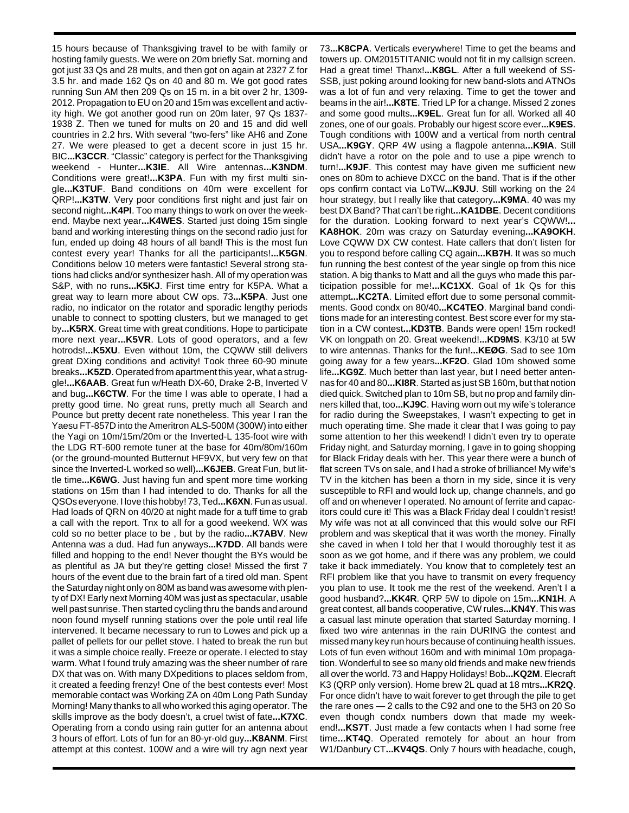15 hours because of Thanksgiving travel to be with family or hosting family guests. We were on 20m briefly Sat. morning and got just 33 Qs and 28 mults, and then got on again at 2327 Z for 3.5 hr. and made 162 Qs on 40 and 80 m. We got good rates running Sun AM then 209 Qs on 15 m. in a bit over 2 hr, 1309- 2012. Propagation to EU on 20 and 15m was excellent and activity high. We got another good run on 20m later, 97 Qs 1837- 1938 Z. Then we tuned for mults on 20 and 15 and did well countries in 2.2 hrs. With several "two-fers" like AH6 and Zone 27. We were pleased to get a decent score in just 15 hr. BIC**...K3CCR**. "Classic" category is perfect for the Thanksgiving weekend - Hunter**...K3IE**. All Wire antennas**...K3NDM**. Conditions were great!**...K3PA**. Fun with my first multi single**...K3TUF**. Band conditions on 40m were excellent for QRP!**...K3TW**. Very poor conditions first night and just fair on second night**...K4PI**. Too many things to work on over the weekend. Maybe next year**...K4WES**. Started just doing 15m single band and working interesting things on the second radio just for fun, ended up doing 48 hours of all band! This is the most fun contest every year! Thanks for all the participants!**...K5GN**. Conditions below 10 meters were fantastic! Several strong stations had clicks and/or synthesizer hash. All of my operation was S&P, with no runs**...K5KJ**. First time entry for K5PA. What a great way to learn more about CW ops. 73**...K5PA**. Just one radio, no indicator on the rotator and sporadic lengthy periods unable to connect to spotting clusters, but we managed to get by**...K5RX**. Great time with great conditions. Hope to participate more next year**...K5VR**. Lots of good operators, and a few hotrods!**...K5XU**. Even without 10m, the CQWW still delivers great DXing conditions and activity! Took three 60-90 minute breaks**...K5ZD**. Operated from apartment this year, what a struggle!**...K6AAB**. Great fun w/Heath DX-60, Drake 2-B, Inverted V and bug**...K6CTW**. For the time I was able to operate, I had a pretty good time. No great runs, pretty much all Search and Pounce but pretty decent rate nonetheless. This year I ran the Yaesu FT-857D into the Ameritron ALS-500M (300W) into either the Yagi on 10m/15m/20m or the Inverted-L 135-foot wire with the LDG RT-600 remote tuner at the base for 40m/80m/160m (or the ground-mounted Butternut HF9VX, but very few on that since the Inverted-L worked so well)**...K6JEB**. Great Fun, but little time**...K6WG**. Just having fun and spent more time working stations on 15m than I had intended to do. Thanks for all the QSOs everyone. I love this hobby! 73, Ted**...K6XN**. Fun as usual. Had loads of QRN on 40/20 at night made for a tuff time to grab a call with the report. Tnx to all for a good weekend. WX was cold so no better place to be , but by the radio**...K7ABV**. New Antenna was a dud. Had fun anyways**...K7DD**. All bands were filled and hopping to the end! Never thought the BYs would be as plentiful as JA but they're getting close! Missed the first 7 hours of the event due to the brain fart of a tired old man. Spent the Saturday night only on 80M as band was awesome with plenty of DX! Early next Morning 40M was just as spectacular, usable well past sunrise. Then started cycling thru the bands and around noon found myself running stations over the pole until real life intervened. It became necessary to run to Lowes and pick up a pallet of pellets for our pellet stove. I hated to break the run but it was a simple choice really. Freeze or operate. I elected to stay warm. What I found truly amazing was the sheer number of rare DX that was on. With many DXpeditions to places seldom from, it created a feeding frenzy! One of the best contests ever! Most memorable contact was Working ZA on 40m Long Path Sunday Morning! Many thanks to all who worked this aging operator. The skills improve as the body doesn't, a cruel twist of fate**...K7XC**. Operating from a condo using rain gutter for an antenna about 3 hours of effort. Lots of fun for an 80-yr-old guy**...K8ANM**. First attempt at this contest. 100W and a wire will try agn next year

73**...K8CPA**. Verticals everywhere! Time to get the beams and towers up. OM2015TITANIC would not fit in my callsign screen. Had a great time! Thanx!**...K8GL**. After a full weekend of SS-SSB, just poking around looking for new band-slots and ATNOs was a lot of fun and very relaxing. Time to get the tower and beams in the air!**...K8TE**. Tried LP for a change. Missed 2 zones and some good mults**...K9EL**. Great fun for all. Worked all 40 zones, one of our goals. Probably our higest score ever**...K9ES**. Tough conditions with 100W and a vertical from north central USA**...K9GY**. QRP 4W using a flagpole antenna**...K9IA**. Still didn't have a rotor on the pole and to use a pipe wrench to turn!**...K9JF**. This contest may have given me sufficient new ones on 80m to achieve DXCC on the band. That is if the other ops confirm contact via LoTW**...K9JU**. Still working on the 24 hour strategy, but I really like that category**...K9MA**. 40 was my best DX Band? That can't be right**...KA1DBE**. Decent conditions for the duration. Looking forward to next year's CQWW!**... KA8HOK**. 20m was crazy on Saturday evening**...KA9OKH**. Love CQWW DX CW contest. Hate callers that don't listen for you to respond before calling CQ again**...KB7H**. It was so much fun running the best contest of the year single op from this nice station. A big thanks to Matt and all the guys who made this participation possible for me!**...KC1XX**. Goal of 1k Qs for this attempt**...KC2TA**. Limited effort due to some personal commitments. Good condx on 80/40**...KC4TEO**. Marginal band conditions made for an interesting contest. Best score ever for my station in a CW contest**...KD3TB**. Bands were open! 15m rocked! VK on longpath on 20. Great weekend!**...KD9MS**. K3/10 at 5W to wire antennas. Thanks for the fun!**...KEØG**. Sad to see 10m going away for a few years**...KF2O**. Glad 10m showed some life**...KG9Z**. Much better than last year, but I need better antennas for 40 and 80**...KI8R**. Started as just SB 160m, but that notion died quick. Switched plan to 10m SB, but no prop and family dinners killed that, too**...KJ9C**. Having worn out my wife's tolerance for radio during the Sweepstakes, I wasn't expecting to get in much operating time. She made it clear that I was going to pay some attention to her this weekend! I didn't even try to operate Friday night, and Saturday morning, I gave in to going shopping for Black Friday deals with her. This year there were a bunch of flat screen TVs on sale, and I had a stroke of brilliance! My wife's TV in the kitchen has been a thorn in my side, since it is very susceptible to RFI and would lock up, change channels, and go off and on whenever I operated. No amount of ferrite and capacitors could cure it! This was a Black Friday deal I couldn't resist! My wife was not at all convinced that this would solve our RFI problem and was skeptical that it was worth the money. Finally she caved in when I told her that I would thoroughly test it as soon as we got home, and if there was any problem, we could take it back immediately. You know that to completely test an RFI problem like that you have to transmit on every frequency you plan to use. It took me the rest of the weekend. Aren't I a good husband?**...KK4R**. QRP 5W to dipole on 15m**...KN1H**. A great contest, all bands cooperative, CW rules**...KN4Y**. This was a casual last minute operation that started Saturday morning. I fixed two wire antennas in the rain DURING the contest and missed many key run hours because of continuing health issues. Lots of fun even without 160m and with minimal 10m propagation. Wonderful to see so many old friends and make new friends all over the world. 73 and Happy Holidays! Bob**...KQ2M**. Elecraft K3 (QRP only version). Home brew 2L quad at 18 mtrs**...KR2Q**. For once didn't have to wait forever to get through the pile to get the rare ones — 2 calls to the C92 and one to the 5H3 on 20 So even though condx numbers down that made my weekend!**...KS7T**. Just made a few contacts when I had some free time**...KT4Q**. Operated remotely for about an hour from W1/Danbury CT**...KV4QS**. Only 7 hours with headache, cough,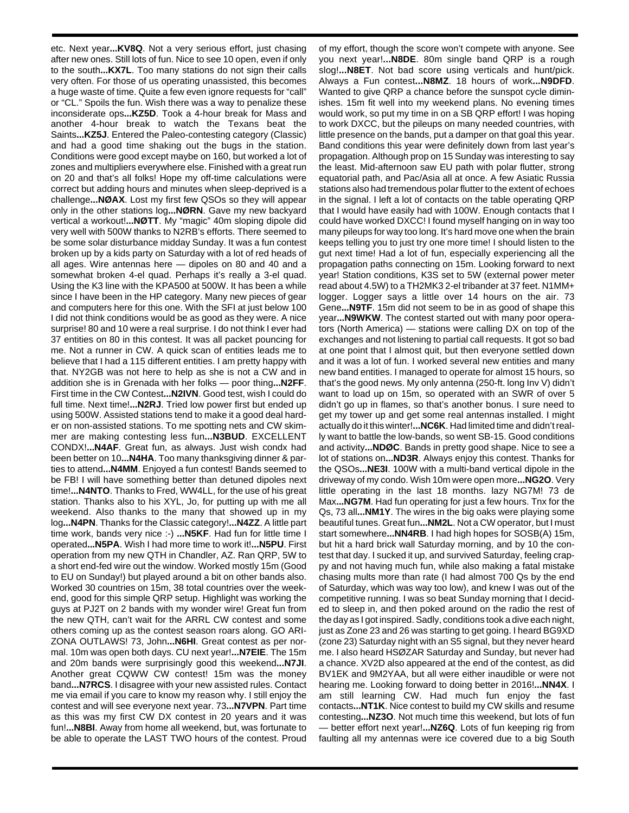etc. Next year**...KV8Q**. Not a very serious effort, just chasing after new ones. Still lots of fun. Nice to see 10 open, even if only to the south**...KX7L**. Too many stations do not sign their calls very often. For those of us operating unassisted, this becomes a huge waste of time. Quite a few even ignore requests for "call" or "CL." Spoils the fun. Wish there was a way to penalize these inconsiderate ops**...KZ5D**. Took a 4-hour break for Mass and another 4-hour break to watch the Texans beat the Saints**...KZ5J**. Entered the Paleo-contesting category (Classic) and had a good time shaking out the bugs in the station. Conditions were good except maybe on 160, but worked a lot of zones and multipliers everywhere else. Finished with a great run on 20 and that's all folks! Hope my off-time calculations were correct but adding hours and minutes when sleep-deprived is a challenge**...NØAX**. Lost my first few QSOs so they will appear only in the other stations log**...NØRN**. Gave my new backyard vertical a workout!**...NØTT**. My "magic" 40m sloping dipole did very well with 500W thanks to N2RB's efforts. There seemed to be some solar disturbance midday Sunday. It was a fun contest broken up by a kids party on Saturday with a lot of red heads of all ages. Wire antennas here — dipoles on 80 and 40 and a somewhat broken 4-el quad. Perhaps it's really a 3-el quad. Using the K3 line with the KPA500 at 500W. It has been a while since I have been in the HP category. Many new pieces of gear and computers here for this one. With the SFI at just below 100 I did not think conditions would be as good as they were. A nice surprise! 80 and 10 were a real surprise. I do not think I ever had 37 entities on 80 in this contest. It was all packet pouncing for me. Not a runner in CW. A quick scan of entities leads me to believe that I had a 115 different entities. I am pretty happy with that. NY2GB was not here to help as she is not a CW and in addition she is in Grenada with her folks — poor thing**...N2FF**. First time in the CW Contest**...N2IVN**. Good test, wish I could do full time. Next time!**...N2RJ**. Tried low power first but ended up using 500W. Assisted stations tend to make it a good deal harder on non-assisted stations. To me spotting nets and CW skimmer are making contesting less fun**...N3BUD**. EXCELLENT CONDX!**...N4AF**. Great fun, as always. Just wish condx had been better on 10**...N4HA**. Too many thanksgiving dinner & parties to attend**...N4MM**. Enjoyed a fun contest! Bands seemed to be FB! I will have something better than detuned dipoles next time!**...N4NTO**. Thanks to Fred, WW4LL, for the use of his great station. Thanks also to his XYL, Jo, for putting up with me all weekend. Also thanks to the many that showed up in my log**...N4PN**. Thanks for the Classic category!**...N4ZZ**. A little part time work, bands very nice :-) **...N5KF**. Had fun for little time I operated**...N5PA**. Wish I had more time to work it!**...N5PU**. First operation from my new QTH in Chandler, AZ. Ran QRP, 5W to a short end-fed wire out the window. Worked mostly 15m (Good to EU on Sunday!) but played around a bit on other bands also. Worked 30 countries on 15m, 38 total countries over the weekend, good for this simple QRP setup. Highlight was working the guys at PJ2T on 2 bands with my wonder wire! Great fun from the new QTH, can't wait for the ARRL CW contest and some others coming up as the contest season roars along. GO ARI-ZONA OUTLAWS! 73, John**...N6HI**. Great contest as per normal. 10m was open both days. CU next year!**...N7EIE**. The 15m and 20m bands were surprisingly good this weekend**...N7JI**. Another great CQWW CW contest! 15m was the money band**...N7RCS**. I disagree with your new assisted rules. Contact me via email if you care to know my reason why. I still enjoy the contest and will see everyone next year. 73**...N7VPN**. Part time as this was my first CW DX contest in 20 years and it was fun!**...N8BI**. Away from home all weekend, but, was fortunate to be able to operate the LAST TWO hours of the contest. Proud

of my effort, though the score won't compete with anyone. See you next year!**...N8DE**. 80m single band QRP is a rough slog!**...N8ET**. Not bad score using verticals and hunt/pick. Always a Fun contest**...N8MZ**. 18 hours of work**...N9DFD**. Wanted to give QRP a chance before the sunspot cycle diminishes. 15m fit well into my weekend plans. No evening times would work, so put my time in on a SB QRP effort! I was hoping to work DXCC, but the pileups on many needed countries, with little presence on the bands, put a damper on that goal this year. Band conditions this year were definitely down from last year's propagation. Although prop on 15 Sunday was interesting to say the least. Mid-afternoon saw EU path with polar flutter, strong equatorial path, and Pac/Asia all at once. A few Asiatic Russia stations also had tremendous polar flutter to the extent of echoes in the signal. I left a lot of contacts on the table operating QRP that I would have easily had with 100W. Enough contacts that I could have worked DXCC! I found myself hanging on in way too many pileups for way too long. It's hard move one when the brain keeps telling you to just try one more time! I should listen to the gut next time! Had a lot of fun, especially experiencing all the propagation paths connecting on 15m. Looking forward to next year! Station conditions, K3S set to 5W (external power meter read about 4.5W) to a TH2MK3 2-el tribander at 37 feet. N1MM+ logger. Logger says a little over 14 hours on the air. 73 Gene**...N9TF**. 15m did not seem to be in as good of shape this year**...N9WKW**. The contest started out with many poor operators (North America) — stations were calling DX on top of the exchanges and not listening to partial call requests. It got so bad at one point that I almost quit, but then everyone settled down and it was a lot of fun. I worked several new entities and many new band entities. I managed to operate for almost 15 hours, so that's the good news. My only antenna (250-ft. long Inv V) didn't want to load up on 15m, so operated with an SWR of over 5 didn't go up in flames, so that's another bonus. I sure need to get my tower up and get some real antennas installed. I might actually do it this winter!**...NC6K**. Had limited time and didn't really want to battle the low-bands, so went SB-15. Good conditions and activity**...NDØC**. Bands in pretty good shape. Nice to see a lot of stations on**...ND3R**. Always enjoy this contest. Thanks for the QSOs**...NE3I**. 100W with a multi-band vertical dipole in the driveway of my condo. Wish 10m were open more**...NG2O**. Very little operating in the last 18 months. lazy NG7M! 73 de Max**...NG7M**. Had fun operating for just a few hours. Tnx for the Qs, 73 all**...NM1Y**. The wires in the big oaks were playing some beautiful tunes. Great fun**...NM2L**. Not a CW operator, but I must start somewhere**...NN4RB**. I had high hopes for SOSB(A) 15m, but hit a hard brick wall Saturday morning, and by 10 the contest that day. I sucked it up, and survived Saturday, feeling crappy and not having much fun, while also making a fatal mistake chasing mults more than rate (I had almost 700 Qs by the end of Saturday, which was way too low), and knew I was out of the competitive running. I was so beat Sunday morning that I decided to sleep in, and then poked around on the radio the rest of the day as I got inspired. Sadly, conditions took a dive each night, just as Zone 23 and 26 was starting to get going. I heard BG9XD (zone 23) Saturday night with an S5 signal, but they never heard me. I also heard HSØZAR Saturday and Sunday, but never had a chance. XV2D also appeared at the end of the contest, as did BV1EK and 9M2YAA, but all were either inaudible or were not hearing me. Looking forward to doing better in 2016!**...NN4X**. I am still learning CW. Had much fun enjoy the fast contacts**...NT1K**. Nice contest to build my CW skills and resume contesting**...NZ3O**. Not much time this weekend, but lots of fun — better effort next year!**...NZ6Q**. Lots of fun keeping rig from faulting all my antennas were ice covered due to a big South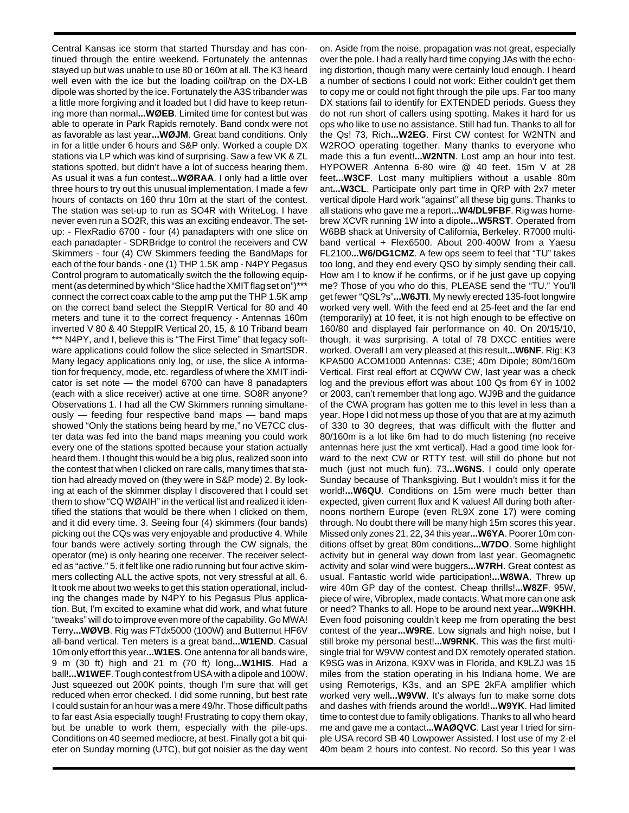Central Kansas ice storm that started Thursday and has continued through the entire weekend. Fortunately the antennas stayed up but was unable to use 80 or 160m at all. The K3 heard well even with the ice but the loading coil/trap on the DX-LB dipole was shorted by the ice. Fortunately the A3S tribander was a little more forgiving and it loaded but I did have to keep retuning more than normal**...WØEB**. Limited time for contest but was able to operate in Park Rapids remotely. Band condx were not as favorable as last year**...WØJM**. Great band conditions. Only in for a little under 6 hours and S&P only. Worked a couple DX stations via LP which was kind of surprising. Saw a few VK & ZL stations spotted, but didn't have a lot of success hearing them. As usual it was a fun contest**...WØRAA**. I only had a little over three hours to try out this unusual implementation. I made a few hours of contacts on 160 thru 10m at the start of the contest. The station was set-up to run as SO4R with WriteLog. I have never even run a SO2R, this was an exciting endeavor. The setup: - FlexRadio 6700 - four (4) panadapters with one slice on each panadapter - SDRBridge to control the receivers and CW Skimmers - four (4) CW Skimmers feeding the BandMaps for each of the four bands - one (1) THP 1.5K amp - N4PY Pegasus Control program to automatically switch the the following equipment (as determined by which "Slice had the XMIT flag set on")\*\*\* connect the correct coax cable to the amp put the THP 1.5K amp on the correct band select the SteppIR Vertical for 80 and 40 meters and tune it to the correct frequency - Antennas 160m inverted V 80 & 40 SteppIR Vertical 20, 15, & 10 Triband beam \*\*\* N4PY, and I, believe this is "The First Time" that legacy software applications could follow the slice selected in SmartSDR. Many legacy applications only log, or use, the slice A information for frequency, mode, etc. regardless of where the XMIT indicator is set note — the model 6700 can have 8 panadapters (each with a slice receiver) active at one time. SO8R anyone? Observations 1. I had all the CW Skimmers running simultaneously — feeding four respective band maps — band maps showed "Only the stations being heard by me," no VE7CC cluster data was fed into the band maps meaning you could work every one of the stations spotted because your station actually heard them. I thought this would be a big plus, realized soon into the contest that when I clicked on rare calls, many times that station had already moved on (they were in S&P mode) 2. By looking at each of the skimmer display I discovered that I could set them to show "CQ WØAIH" in the vertical list and realized it identified the stations that would be there when I clicked on them, and it did every time. 3. Seeing four (4) skimmers (four bands) picking out the CQs was very enjoyable and productive 4. While four bands were actively sorting through the CW signals, the operator (me) is only hearing one receiver. The receiver selected as "active." 5. it felt like one radio running but four active skimmers collecting ALL the active spots, not very stressful at all. 6. It took me about two weeks to get this station operational, including the changes made by N4PY to his Pegasus Plus application. But, I'm excited to examine what did work, and what future "tweaks" will do to improve even more of the capability. Go MWA! Terry**...WØVB**. Rig was FTdx5000 (100W) and Butternut HF6V all-band vertical. Ten meters is a great band**...W1END**. Casual 10m only effort this year**...W1ES**. One antenna for all bands wire, 9 m (30 ft) high and 21 m (70 ft) long**...W1HIS**. Had a ball!**...W1WEF**. Tough contest from USA with a dipole and 100W. Just squeezed out 200K points, though I'm sure that will get reduced when error checked. I did some running, but best rate I could sustain for an hour was a mere 49/hr. Those difficult paths to far east Asia especially tough! Frustrating to copy them okay, but be unable to work them, especially with the pile-ups. Conditions on 40 seemed mediocre, at best. Finally got a bit quieter on Sunday morning (UTC), but got noisier as the day went

on. Aside from the noise, propagation was not great, especially over the pole. I had a really hard time copying JAs with the echoing distortion, though many were certainly loud enough. I heard a number of sections I could not work: Either couldn't get them to copy me or could not fight through the pile ups. Far too many DX stations fail to identify for EXTENDED periods. Guess they do not run short of callers using spotting. Makes it hard for us ops who like to use no assistance. Still had fun. Thanks to all for the Qs! 73, Rich**...W2EG**. First CW contest for W2NTN and W2ROO operating together. Many thanks to everyone who made this a fun event!**...W2NTN**. Lost amp an hour into test. HYPOWER Antenna 6-80 wire @ 40 feet. 15m V at 28 feet**...W3CF**. Lost many multipliers without a usable 80m ant**...W3CL**. Participate only part time in QRP with 2x7 meter vertical dipole Hard work "against" all these big guns. Thanks to all stations who gave me a report**...W4/DL9FBF**. Rig was homebrew XCVR running 1W into a dipole**...W5RST**. Operated from W6BB shack at University of California, Berkeley. R7000 multiband vertical + Flex6500. About 200-400W from a Yaesu FL2100**...W6/DG1CMZ**. A few ops seem to feel that "TU" takes too long, and they end every QSO by simply sending their call. How am I to know if he confirms, or if he just gave up copying me? Those of you who do this, PLEASE send the "TU." You'll get fewer "QSL?s"**...W6JTI**. My newly erected 135-foot longwire worked very well. With the feed end at 25-feet and the far end (temporarily) at 10 feet, it is not high enough to be effective on 160/80 and displayed fair performance on 40. On 20/15/10, though, it was surprising. A total of 78 DXCC entities were worked. Overall I am very pleased at this result**...W6NF**. Rig: K3 KPA500 ACOM1000 Antennas: C3E; 40m Dipole; 80m/160m Vertical. First real effort at CQWW CW, last year was a check log and the previous effort was about 100 Qs from 6Y in 1002 or 2003, can't remember that long ago. WJ9B and the guidance of the CWA program has gotten me to this level in less than a year. Hope I did not mess up those of you that are at my azimuth of 330 to 30 degrees, that was difficult with the flutter and 80/160m is a lot like 6m had to do much listening (no receive antennas here just the xmt vertical). Had a good time look forward to the next CW or RTTY test, will still do phone but not much (just not much fun). 73**...W6NS**. I could only operate Sunday because of Thanksgiving. But I wouldn't miss it for the world!**...W6QU**. Conditions on 15m were much better than expected, given current flux and K values! All during both afternoons northern Europe (even RL9X zone 17) were coming through. No doubt there will be many high 15m scores this year. Missed only zones 21, 22, 34 this year**...W6YA**. Poorer 10m conditions offset by great 80m conditions**...W7DO**. Some highlight activity but in general way down from last year. Geomagnetic activity and solar wind were buggers**...W7RH**. Great contest as usual. Fantastic world wide participation!**...W8WA**. Threw up wire 40m GP day of the contest. Cheap thrills!**...W8ZF**. 95W, piece of wire, Vibroplex, made contacts. What more can one ask or need? Thanks to all. Hope to be around next year**...W9KHH**. Even food poisoning couldn't keep me from operating the best contest of the year**...W9RE**. Low signals and high noise, but I still broke my personal best!**...W9RNK**. This was the first multisingle trial for W9VW contest and DX remotely operated station. K9SG was in Arizona, K9XV was in Florida, and K9LZJ was 15 miles from the station operating in his Indiana home. We are using Remoterigs, K3s, and an SPE 2kFA amplifier which worked very well**...W9VW**. It's always fun to make some dots and dashes with friends around the world!**...W9YK**. Had limited time to contest due to family obligations. Thanks to all who heard me and gave me a contact**...WAØQVC**. Last year I tried for simple USA record SB 40 Lowpower Assisted. I lost use of my 2-el 40m beam 2 hours into contest. No record. So this year I was